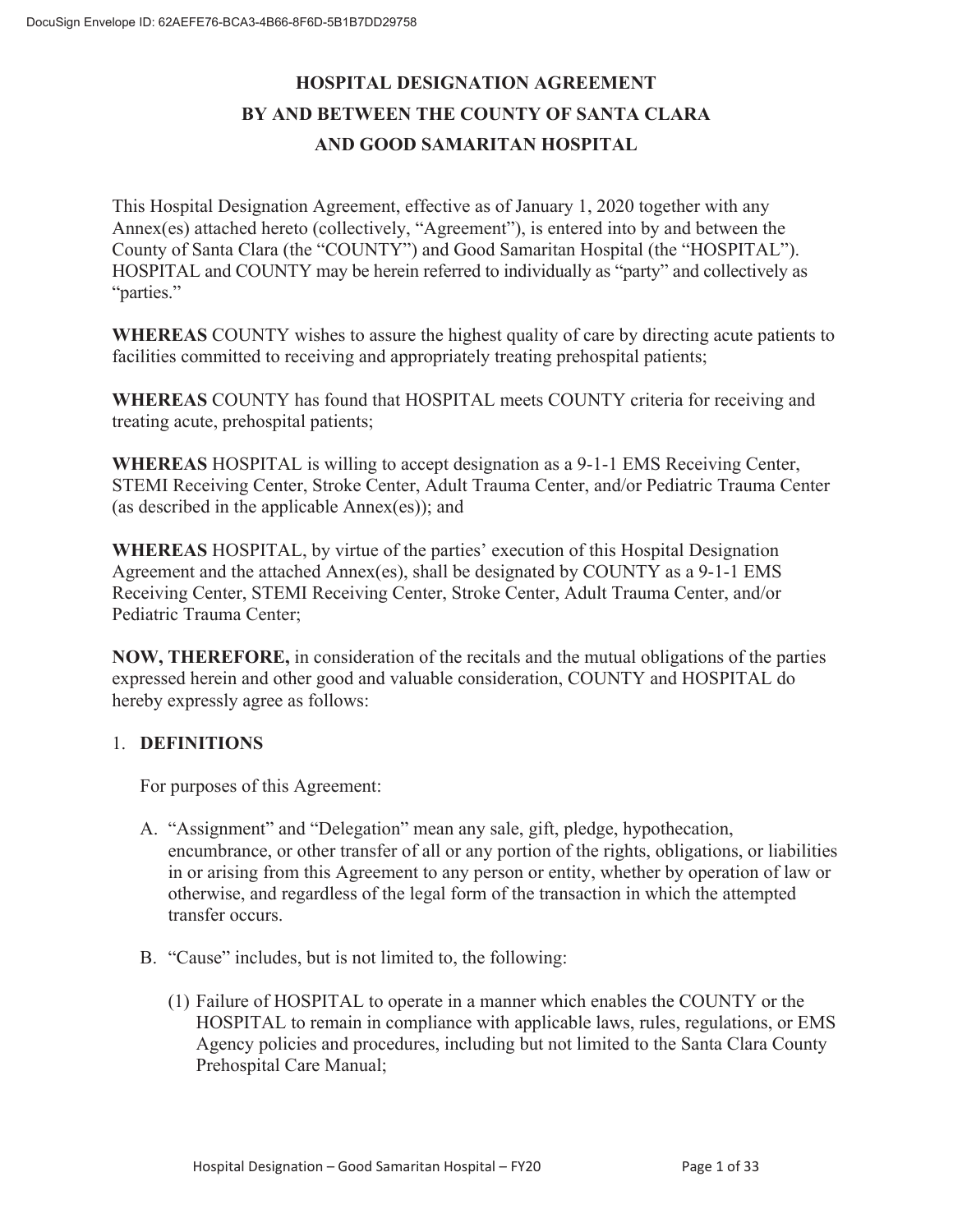# **HOSPITAL DESIGNATION AGREEMENT BY AND BETWEEN THE COUNTY OF SANTA CLARA AND GOOD SAMARITAN HOSPITAL**

This Hospital Designation Agreement, effective as of January 1, 2020 together with any Annex(es) attached hereto (collectively, "Agreement"), is entered into by and between the County of Santa Clara (the "COUNTY") and Good Samaritan Hospital (the "HOSPITAL"). HOSPITAL and COUNTY may be herein referred to individually as "party" and collectively as "parties."

**WHEREAS** COUNTY wishes to assure the highest quality of care by directing acute patients to facilities committed to receiving and appropriately treating prehospital patients;

**WHEREAS** COUNTY has found that HOSPITAL meets COUNTY criteria for receiving and treating acute, prehospital patients;

**WHEREAS** HOSPITAL is willing to accept designation as a 9-1-1 EMS Receiving Center, STEMI Receiving Center, Stroke Center, Adult Trauma Center, and/or Pediatric Trauma Center (as described in the applicable Annex(es)); and

**WHEREAS** HOSPITAL, by virtue of the parties' execution of this Hospital Designation Agreement and the attached Annex(es), shall be designated by COUNTY as a 9-1-1 EMS Receiving Center, STEMI Receiving Center, Stroke Center, Adult Trauma Center, and/or Pediatric Trauma Center;

**NOW, THEREFORE,** in consideration of the recitals and the mutual obligations of the parties expressed herein and other good and valuable consideration, COUNTY and HOSPITAL do hereby expressly agree as follows:

#### 1. **DEFINITIONS**

For purposes of this Agreement:

- A. "Assignment" and "Delegation" mean any sale, gift, pledge, hypothecation, encumbrance, or other transfer of all or any portion of the rights, obligations, or liabilities in or arising from this Agreement to any person or entity, whether by operation of law or otherwise, and regardless of the legal form of the transaction in which the attempted transfer occurs.
- B. "Cause" includes, but is not limited to, the following:
	- (1) Failure of HOSPITAL to operate in a manner which enables the COUNTY or the HOSPITAL to remain in compliance with applicable laws, rules, regulations, or EMS Agency policies and procedures, including but not limited to the Santa Clara County Prehospital Care Manual;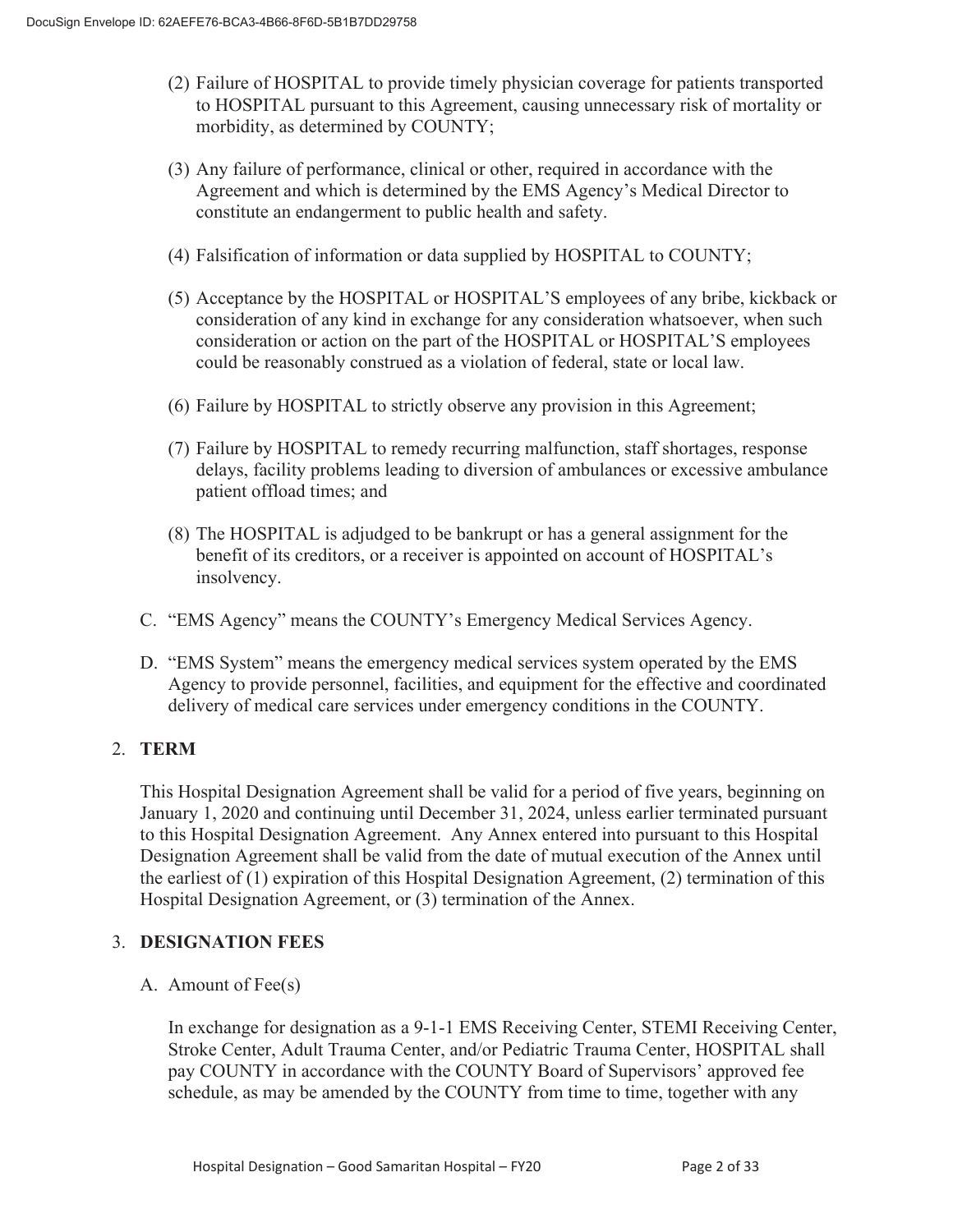- (2) Failure of HOSPITAL to provide timely physician coverage for patients transported to HOSPITAL pursuant to this Agreement, causing unnecessary risk of mortality or morbidity, as determined by COUNTY;
- (3) Any failure of performance, clinical or other, required in accordance with the Agreement and which is determined by the EMS Agency's Medical Director to constitute an endangerment to public health and safety.
- (4) Falsification of information or data supplied by HOSPITAL to COUNTY;
- (5) Acceptance by the HOSPITAL or HOSPITAL'S employees of any bribe, kickback or consideration of any kind in exchange for any consideration whatsoever, when such consideration or action on the part of the HOSPITAL or HOSPITAL'S employees could be reasonably construed as a violation of federal, state or local law.
- (6) Failure by HOSPITAL to strictly observe any provision in this Agreement;
- (7) Failure by HOSPITAL to remedy recurring malfunction, staff shortages, response delays, facility problems leading to diversion of ambulances or excessive ambulance patient offload times; and
- (8) The HOSPITAL is adjudged to be bankrupt or has a general assignment for the benefit of its creditors, or a receiver is appointed on account of HOSPITAL's insolvency.
- C. "EMS Agency" means the COUNTY's Emergency Medical Services Agency.
- D. "EMS System" means the emergency medical services system operated by the EMS Agency to provide personnel, facilities, and equipment for the effective and coordinated delivery of medical care services under emergency conditions in the COUNTY.

# 2. **TERM**

This Hospital Designation Agreement shall be valid for a period of five years, beginning on January 1, 2020 and continuing until December 31, 2024, unless earlier terminated pursuant to this Hospital Designation Agreement. Any Annex entered into pursuant to this Hospital Designation Agreement shall be valid from the date of mutual execution of the Annex until the earliest of (1) expiration of this Hospital Designation Agreement, (2) termination of this Hospital Designation Agreement, or (3) termination of the Annex.

# 3. **DESIGNATION FEES**

A. Amount of Fee(s)

In exchange for designation as a 9-1-1 EMS Receiving Center, STEMI Receiving Center, Stroke Center, Adult Trauma Center, and/or Pediatric Trauma Center, HOSPITAL shall pay COUNTY in accordance with the COUNTY Board of Supervisors' approved fee schedule, as may be amended by the COUNTY from time to time, together with any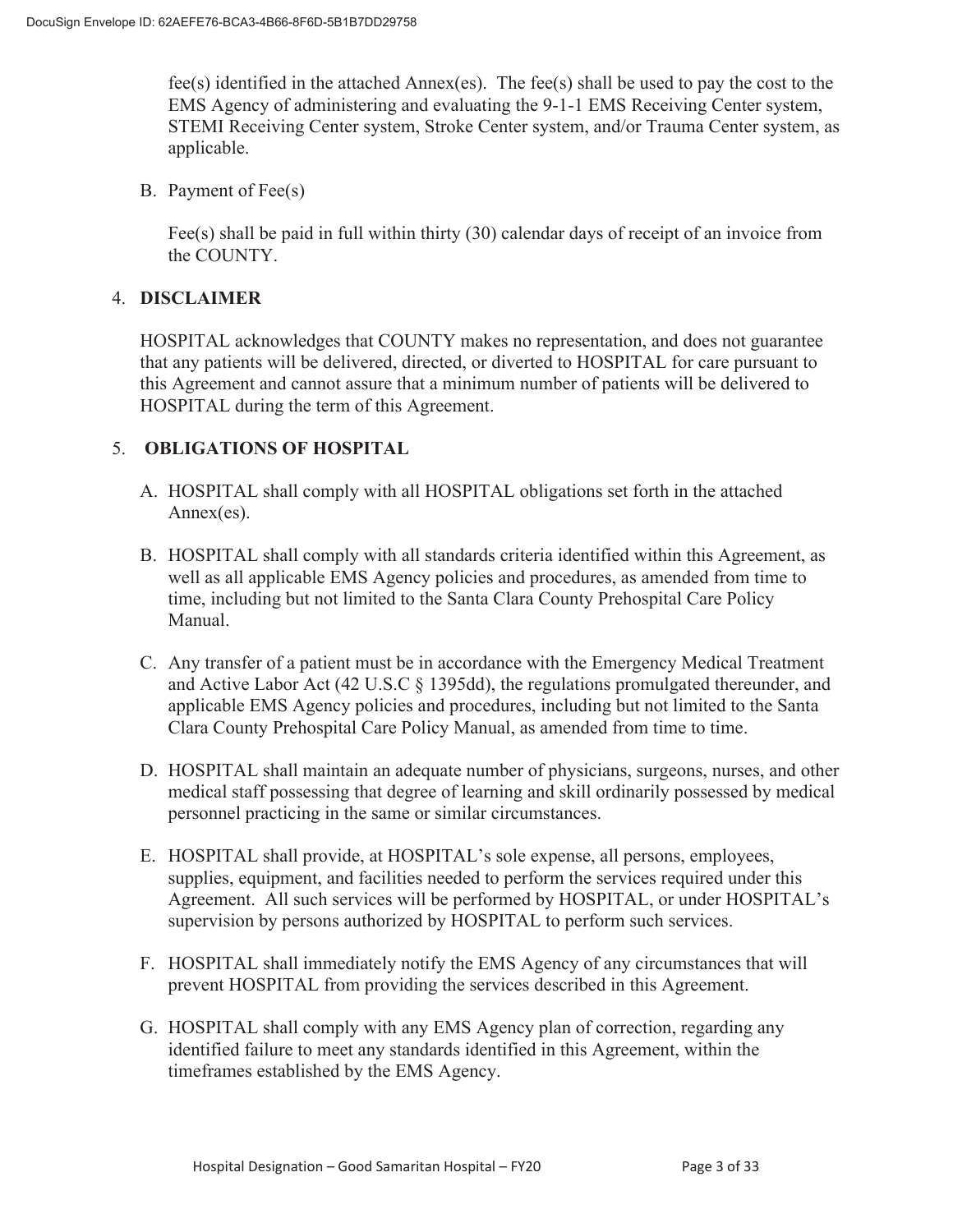fee(s) identified in the attached Annex(es). The fee(s) shall be used to pay the cost to the EMS Agency of administering and evaluating the 9-1-1 EMS Receiving Center system, STEMI Receiving Center system, Stroke Center system, and/or Trauma Center system, as applicable.

B. Payment of Fee(s)

Fee(s) shall be paid in full within thirty (30) calendar days of receipt of an invoice from the COUNTY.

## 4. **DISCLAIMER**

HOSPITAL acknowledges that COUNTY makes no representation, and does not guarantee that any patients will be delivered, directed, or diverted to HOSPITAL for care pursuant to this Agreement and cannot assure that a minimum number of patients will be delivered to HOSPITAL during the term of this Agreement.

# 5. **OBLIGATIONS OF HOSPITAL**

- A. HOSPITAL shall comply with all HOSPITAL obligations set forth in the attached Annex(es).
- B. HOSPITAL shall comply with all standards criteria identified within this Agreement, as well as all applicable EMS Agency policies and procedures, as amended from time to time, including but not limited to the Santa Clara County Prehospital Care Policy Manual.
- C. Any transfer of a patient must be in accordance with the Emergency Medical Treatment and Active Labor Act (42 U.S.C § 1395dd), the regulations promulgated thereunder, and applicable EMS Agency policies and procedures, including but not limited to the Santa Clara County Prehospital Care Policy Manual, as amended from time to time.
- D. HOSPITAL shall maintain an adequate number of physicians, surgeons, nurses, and other medical staff possessing that degree of learning and skill ordinarily possessed by medical personnel practicing in the same or similar circumstances.
- E. HOSPITAL shall provide, at HOSPITAL's sole expense, all persons, employees, supplies, equipment, and facilities needed to perform the services required under this Agreement. All such services will be performed by HOSPITAL, or under HOSPITAL's supervision by persons authorized by HOSPITAL to perform such services.
- F. HOSPITAL shall immediately notify the EMS Agency of any circumstances that will prevent HOSPITAL from providing the services described in this Agreement.
- G. HOSPITAL shall comply with any EMS Agency plan of correction, regarding any identified failure to meet any standards identified in this Agreement, within the timeframes established by the EMS Agency.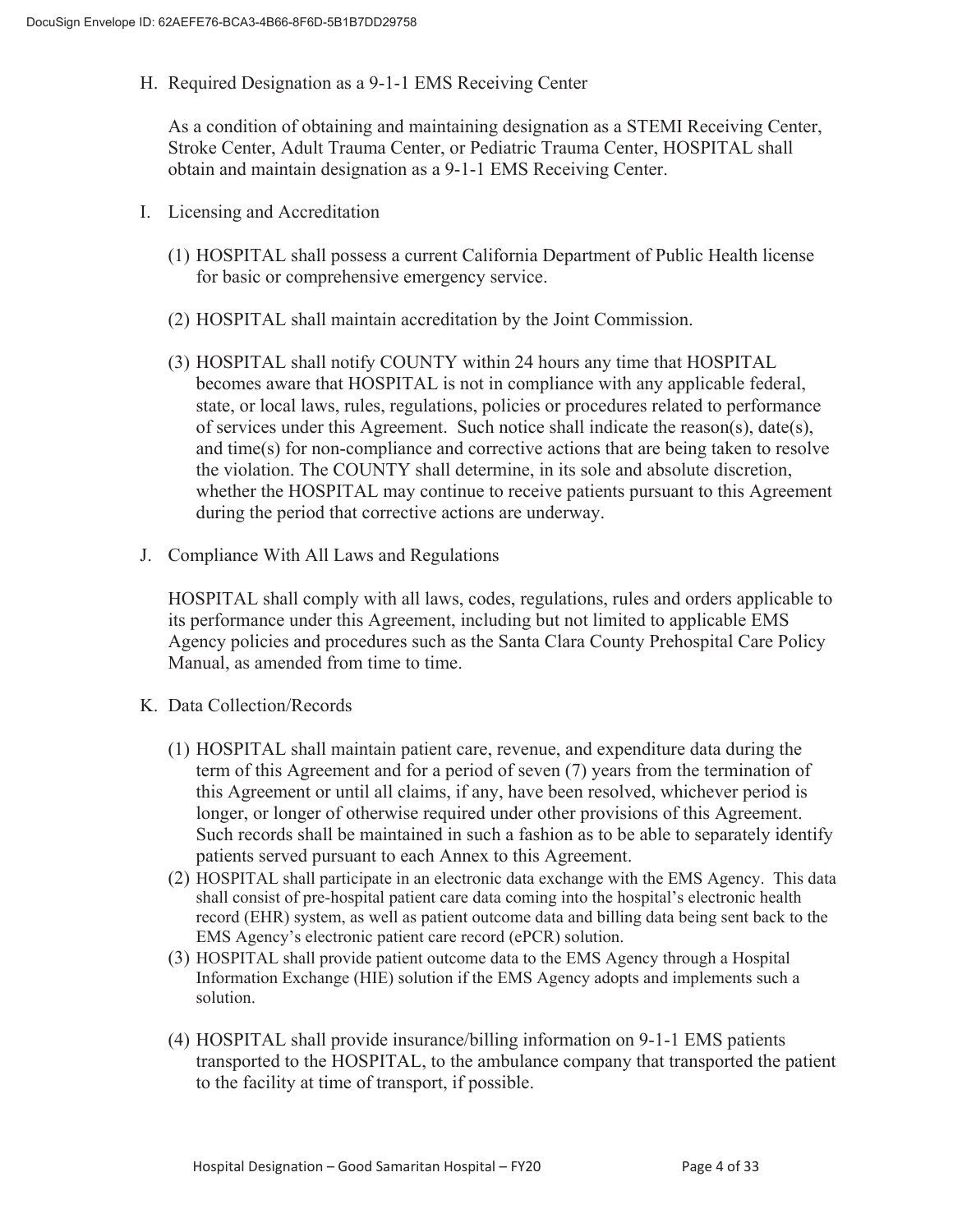H. Required Designation as a 9-1-1 EMS Receiving Center

As a condition of obtaining and maintaining designation as a STEMI Receiving Center, Stroke Center, Adult Trauma Center, or Pediatric Trauma Center, HOSPITAL shall obtain and maintain designation as a 9-1-1 EMS Receiving Center.

- I. Licensing and Accreditation
	- (1) HOSPITAL shall possess a current California Department of Public Health license for basic or comprehensive emergency service.
	- (2) HOSPITAL shall maintain accreditation by the Joint Commission.
	- (3) HOSPITAL shall notify COUNTY within 24 hours any time that HOSPITAL becomes aware that HOSPITAL is not in compliance with any applicable federal, state, or local laws, rules, regulations, policies or procedures related to performance of services under this Agreement. Such notice shall indicate the reason(s), date(s), and time(s) for non-compliance and corrective actions that are being taken to resolve the violation. The COUNTY shall determine, in its sole and absolute discretion, whether the HOSPITAL may continue to receive patients pursuant to this Agreement during the period that corrective actions are underway.
- J. Compliance With All Laws and Regulations

HOSPITAL shall comply with all laws, codes, regulations, rules and orders applicable to its performance under this Agreement, including but not limited to applicable EMS Agency policies and procedures such as the Santa Clara County Prehospital Care Policy Manual, as amended from time to time.

- K. Data Collection/Records
	- (1) HOSPITAL shall maintain patient care, revenue, and expenditure data during the term of this Agreement and for a period of seven (7) years from the termination of this Agreement or until all claims, if any, have been resolved, whichever period is longer, or longer of otherwise required under other provisions of this Agreement. Such records shall be maintained in such a fashion as to be able to separately identify patients served pursuant to each Annex to this Agreement.
	- (2) HOSPITAL shall participate in an electronic data exchange with the EMS Agency. This data shall consist of pre-hospital patient care data coming into the hospital's electronic health record (EHR) system, as well as patient outcome data and billing data being sent back to the EMS Agency's electronic patient care record (ePCR) solution.
	- (3) HOSPITAL shall provide patient outcome data to the EMS Agency through a Hospital Information Exchange (HIE) solution if the EMS Agency adopts and implements such a solution.
	- (4) HOSPITAL shall provide insurance/billing information on 9-1-1 EMS patients transported to the HOSPITAL, to the ambulance company that transported the patient to the facility at time of transport, if possible.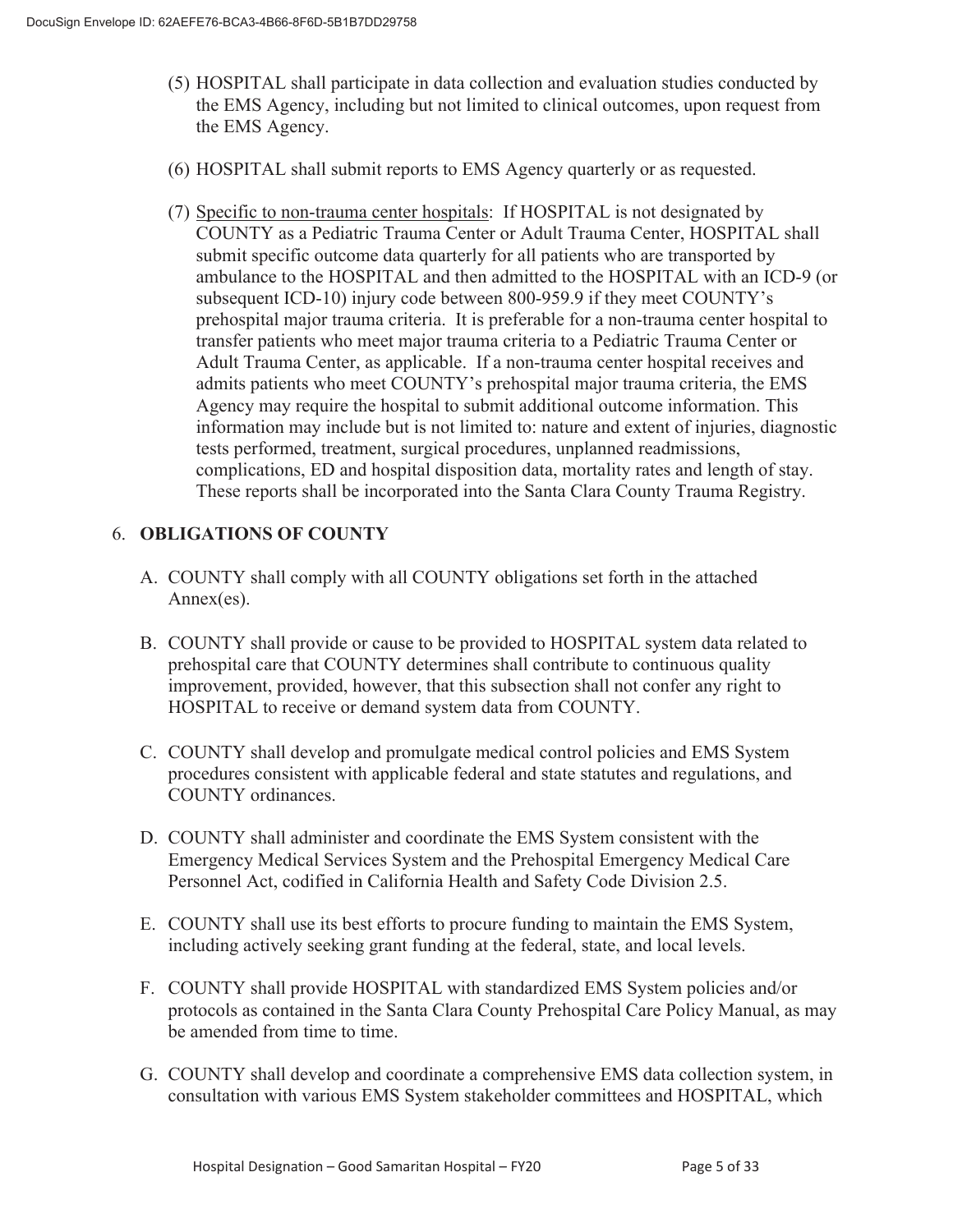- (5) HOSPITAL shall participate in data collection and evaluation studies conducted by the EMS Agency, including but not limited to clinical outcomes, upon request from the EMS Agency.
- (6) HOSPITAL shall submit reports to EMS Agency quarterly or as requested.
- (7) Specific to non-trauma center hospitals: If HOSPITAL is not designated by COUNTY as a Pediatric Trauma Center or Adult Trauma Center, HOSPITAL shall submit specific outcome data quarterly for all patients who are transported by ambulance to the HOSPITAL and then admitted to the HOSPITAL with an ICD-9 (or subsequent ICD-10) injury code between 800-959.9 if they meet COUNTY's prehospital major trauma criteria. It is preferable for a non-trauma center hospital to transfer patients who meet major trauma criteria to a Pediatric Trauma Center or Adult Trauma Center, as applicable. If a non-trauma center hospital receives and admits patients who meet COUNTY's prehospital major trauma criteria, the EMS Agency may require the hospital to submit additional outcome information. This information may include but is not limited to: nature and extent of injuries, diagnostic tests performed, treatment, surgical procedures, unplanned readmissions, complications, ED and hospital disposition data, mortality rates and length of stay. These reports shall be incorporated into the Santa Clara County Trauma Registry.

## 6. **OBLIGATIONS OF COUNTY**

- A. COUNTY shall comply with all COUNTY obligations set forth in the attached Annex(es).
- B. COUNTY shall provide or cause to be provided to HOSPITAL system data related to prehospital care that COUNTY determines shall contribute to continuous quality improvement, provided, however, that this subsection shall not confer any right to HOSPITAL to receive or demand system data from COUNTY.
- C. COUNTY shall develop and promulgate medical control policies and EMS System procedures consistent with applicable federal and state statutes and regulations, and COUNTY ordinances.
- D. COUNTY shall administer and coordinate the EMS System consistent with the Emergency Medical Services System and the Prehospital Emergency Medical Care Personnel Act, codified in California Health and Safety Code Division 2.5.
- E. COUNTY shall use its best efforts to procure funding to maintain the EMS System, including actively seeking grant funding at the federal, state, and local levels.
- F. COUNTY shall provide HOSPITAL with standardized EMS System policies and/or protocols as contained in the Santa Clara County Prehospital Care Policy Manual, as may be amended from time to time.
- G. COUNTY shall develop and coordinate a comprehensive EMS data collection system, in consultation with various EMS System stakeholder committees and HOSPITAL, which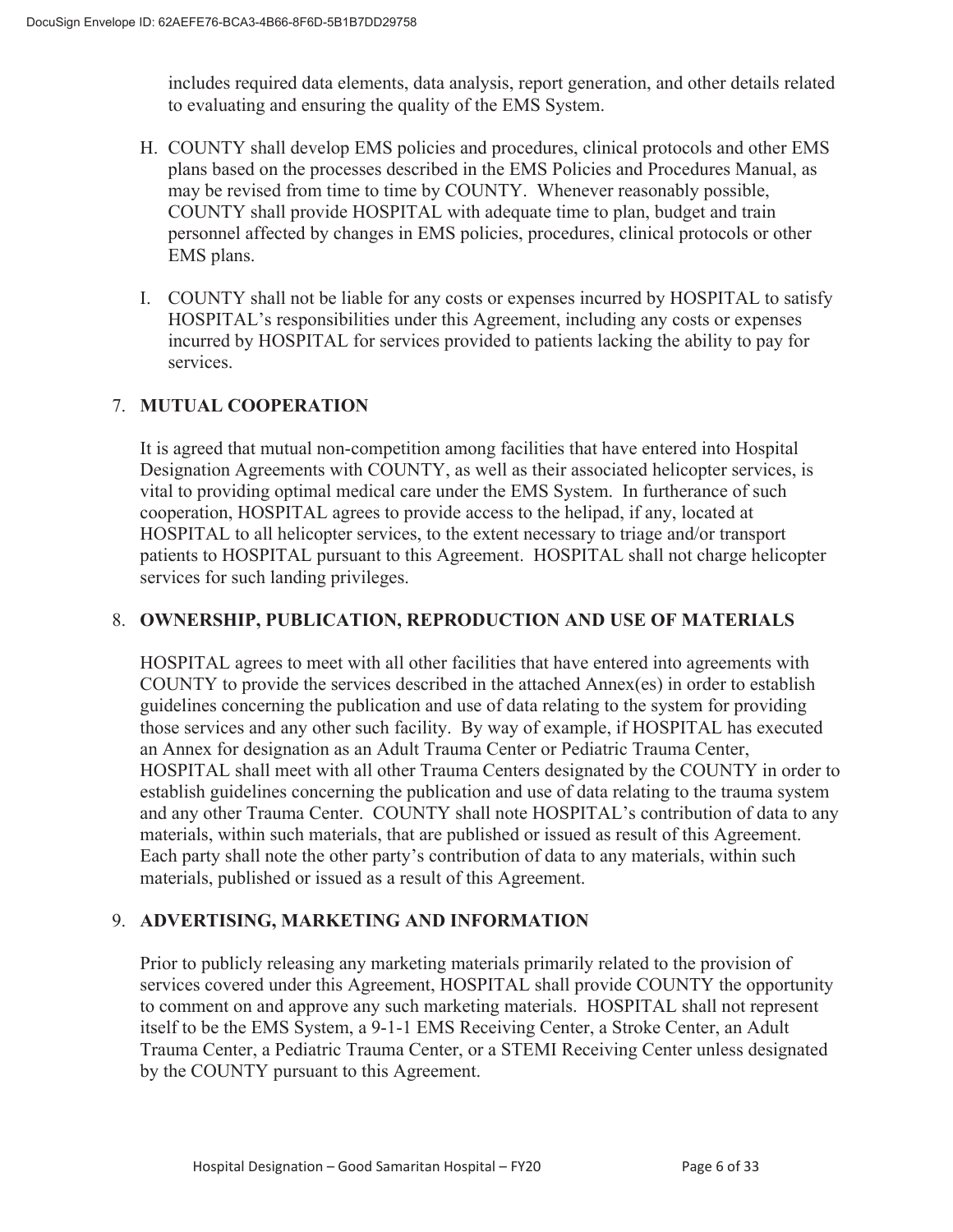includes required data elements, data analysis, report generation, and other details related to evaluating and ensuring the quality of the EMS System.

- H. COUNTY shall develop EMS policies and procedures, clinical protocols and other EMS plans based on the processes described in the EMS Policies and Procedures Manual, as may be revised from time to time by COUNTY. Whenever reasonably possible, COUNTY shall provide HOSPITAL with adequate time to plan, budget and train personnel affected by changes in EMS policies, procedures, clinical protocols or other EMS plans.
- I. COUNTY shall not be liable for any costs or expenses incurred by HOSPITAL to satisfy HOSPITAL's responsibilities under this Agreement, including any costs or expenses incurred by HOSPITAL for services provided to patients lacking the ability to pay for services.

# 7. **MUTUAL COOPERATION**

It is agreed that mutual non-competition among facilities that have entered into Hospital Designation Agreements with COUNTY, as well as their associated helicopter services, is vital to providing optimal medical care under the EMS System. In furtherance of such cooperation, HOSPITAL agrees to provide access to the helipad, if any, located at HOSPITAL to all helicopter services, to the extent necessary to triage and/or transport patients to HOSPITAL pursuant to this Agreement. HOSPITAL shall not charge helicopter services for such landing privileges.

# 8. **OWNERSHIP, PUBLICATION, REPRODUCTION AND USE OF MATERIALS**

HOSPITAL agrees to meet with all other facilities that have entered into agreements with COUNTY to provide the services described in the attached Annex(es) in order to establish guidelines concerning the publication and use of data relating to the system for providing those services and any other such facility. By way of example, if HOSPITAL has executed an Annex for designation as an Adult Trauma Center or Pediatric Trauma Center, HOSPITAL shall meet with all other Trauma Centers designated by the COUNTY in order to establish guidelines concerning the publication and use of data relating to the trauma system and any other Trauma Center. COUNTY shall note HOSPITAL's contribution of data to any materials, within such materials, that are published or issued as result of this Agreement. Each party shall note the other party's contribution of data to any materials, within such materials, published or issued as a result of this Agreement.

# 9. **ADVERTISING, MARKETING AND INFORMATION**

Prior to publicly releasing any marketing materials primarily related to the provision of services covered under this Agreement, HOSPITAL shall provide COUNTY the opportunity to comment on and approve any such marketing materials. HOSPITAL shall not represent itself to be the EMS System, a 9-1-1 EMS Receiving Center, a Stroke Center, an Adult Trauma Center, a Pediatric Trauma Center, or a STEMI Receiving Center unless designated by the COUNTY pursuant to this Agreement.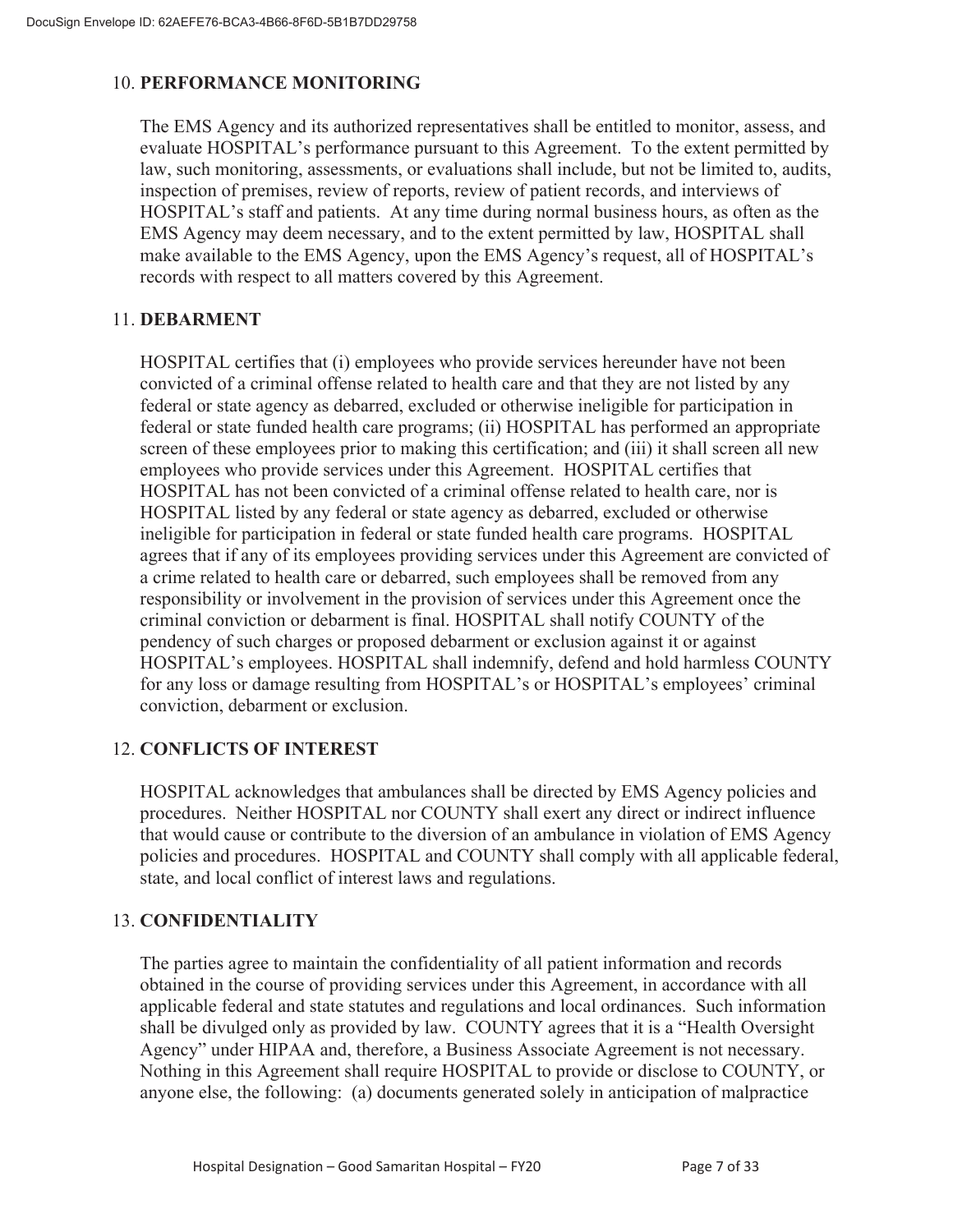# 10. **PERFORMANCE MONITORING**

The EMS Agency and its authorized representatives shall be entitled to monitor, assess, and evaluate HOSPITAL's performance pursuant to this Agreement. To the extent permitted by law, such monitoring, assessments, or evaluations shall include, but not be limited to, audits, inspection of premises, review of reports, review of patient records, and interviews of HOSPITAL's staff and patients. At any time during normal business hours, as often as the EMS Agency may deem necessary, and to the extent permitted by law, HOSPITAL shall make available to the EMS Agency, upon the EMS Agency's request, all of HOSPITAL's records with respect to all matters covered by this Agreement.

## 11. **DEBARMENT**

HOSPITAL certifies that (i) employees who provide services hereunder have not been convicted of a criminal offense related to health care and that they are not listed by any federal or state agency as debarred, excluded or otherwise ineligible for participation in federal or state funded health care programs; (ii) HOSPITAL has performed an appropriate screen of these employees prior to making this certification; and (iii) it shall screen all new employees who provide services under this Agreement. HOSPITAL certifies that HOSPITAL has not been convicted of a criminal offense related to health care, nor is HOSPITAL listed by any federal or state agency as debarred, excluded or otherwise ineligible for participation in federal or state funded health care programs. HOSPITAL agrees that if any of its employees providing services under this Agreement are convicted of a crime related to health care or debarred, such employees shall be removed from any responsibility or involvement in the provision of services under this Agreement once the criminal conviction or debarment is final. HOSPITAL shall notify COUNTY of the pendency of such charges or proposed debarment or exclusion against it or against HOSPITAL's employees. HOSPITAL shall indemnify, defend and hold harmless COUNTY for any loss or damage resulting from HOSPITAL's or HOSPITAL's employees' criminal conviction, debarment or exclusion.

# 12. **CONFLICTS OF INTEREST**

HOSPITAL acknowledges that ambulances shall be directed by EMS Agency policies and procedures. Neither HOSPITAL nor COUNTY shall exert any direct or indirect influence that would cause or contribute to the diversion of an ambulance in violation of EMS Agency policies and procedures. HOSPITAL and COUNTY shall comply with all applicable federal, state, and local conflict of interest laws and regulations.

# 13. **CONFIDENTIALITY**

The parties agree to maintain the confidentiality of all patient information and records obtained in the course of providing services under this Agreement, in accordance with all applicable federal and state statutes and regulations and local ordinances. Such information shall be divulged only as provided by law. COUNTY agrees that it is a "Health Oversight Agency" under HIPAA and, therefore, a Business Associate Agreement is not necessary. Nothing in this Agreement shall require HOSPITAL to provide or disclose to COUNTY, or anyone else, the following: (a) documents generated solely in anticipation of malpractice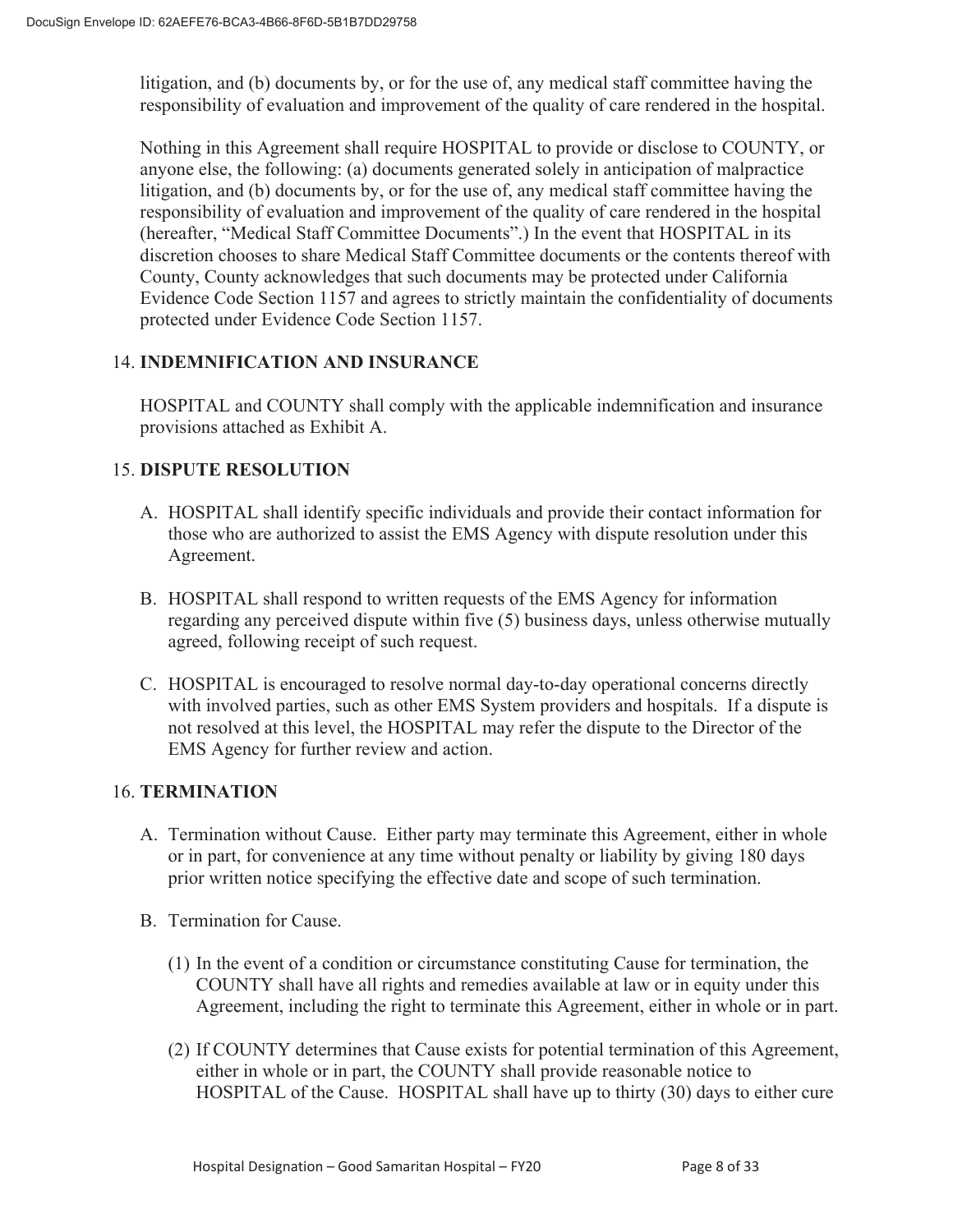litigation, and (b) documents by, or for the use of, any medical staff committee having the responsibility of evaluation and improvement of the quality of care rendered in the hospital.

Nothing in this Agreement shall require HOSPITAL to provide or disclose to COUNTY, or anyone else, the following: (a) documents generated solely in anticipation of malpractice litigation, and (b) documents by, or for the use of, any medical staff committee having the responsibility of evaluation and improvement of the quality of care rendered in the hospital (hereafter, "Medical Staff Committee Documents".) In the event that HOSPITAL in its discretion chooses to share Medical Staff Committee documents or the contents thereof with County, County acknowledges that such documents may be protected under California Evidence Code Section 1157 and agrees to strictly maintain the confidentiality of documents protected under Evidence Code Section 1157.

# 14. **INDEMNIFICATION AND INSURANCE**

HOSPITAL and COUNTY shall comply with the applicable indemnification and insurance provisions attached as Exhibit A.

# 15. **DISPUTE RESOLUTION**

- A. HOSPITAL shall identify specific individuals and provide their contact information for those who are authorized to assist the EMS Agency with dispute resolution under this Agreement.
- B. HOSPITAL shall respond to written requests of the EMS Agency for information regarding any perceived dispute within five (5) business days, unless otherwise mutually agreed, following receipt of such request.
- C. HOSPITAL is encouraged to resolve normal day-to-day operational concerns directly with involved parties, such as other EMS System providers and hospitals. If a dispute is not resolved at this level, the HOSPITAL may refer the dispute to the Director of the EMS Agency for further review and action.

# 16. **TERMINATION**

- A. Termination without Cause. Either party may terminate this Agreement, either in whole or in part, for convenience at any time without penalty or liability by giving 180 days prior written notice specifying the effective date and scope of such termination.
- B. Termination for Cause.
	- (1) In the event of a condition or circumstance constituting Cause for termination, the COUNTY shall have all rights and remedies available at law or in equity under this Agreement, including the right to terminate this Agreement, either in whole or in part.
	- (2) If COUNTY determines that Cause exists for potential termination of this Agreement, either in whole or in part, the COUNTY shall provide reasonable notice to HOSPITAL of the Cause. HOSPITAL shall have up to thirty (30) days to either cure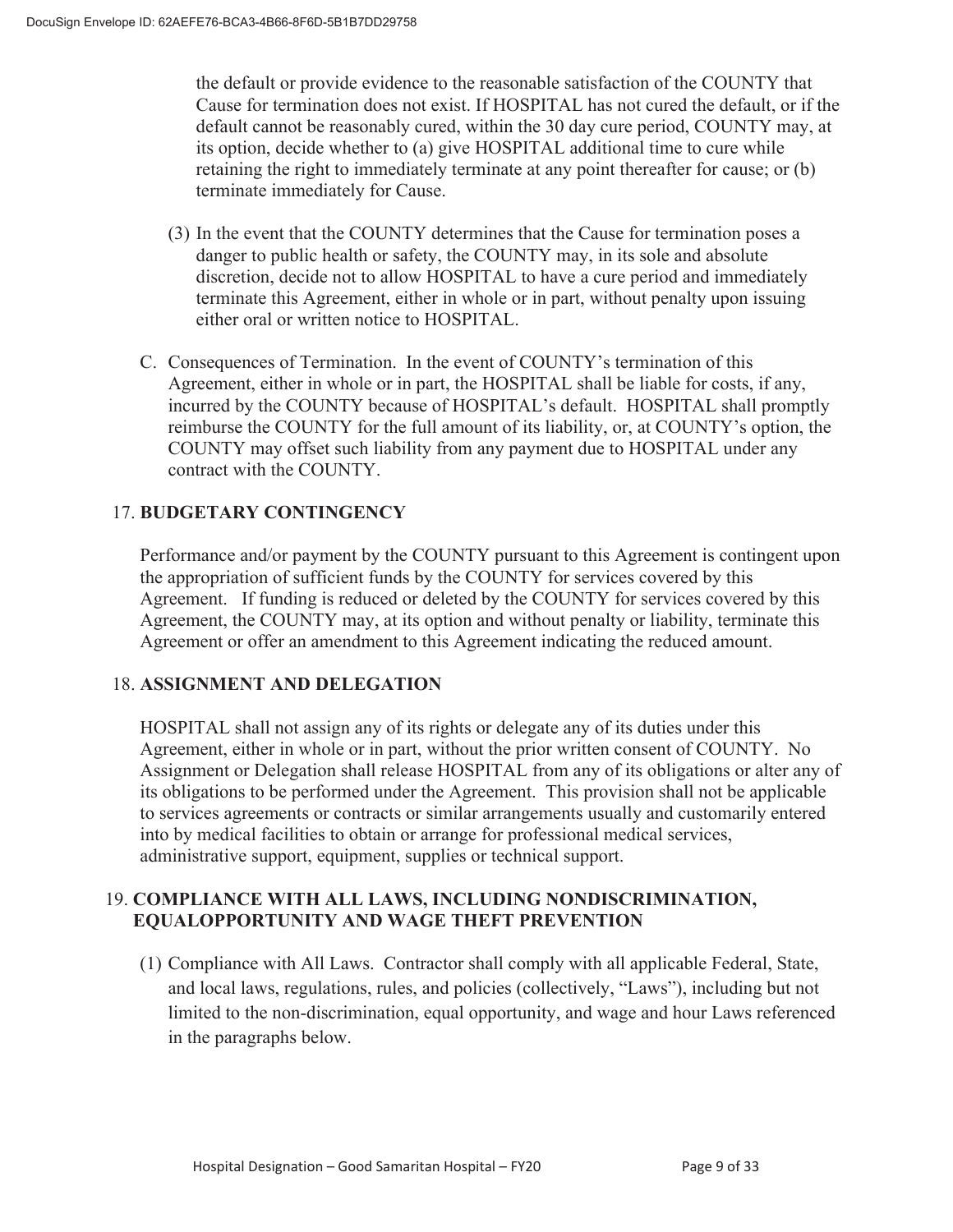the default or provide evidence to the reasonable satisfaction of the COUNTY that Cause for termination does not exist. If HOSPITAL has not cured the default, or if the default cannot be reasonably cured, within the 30 day cure period, COUNTY may, at its option, decide whether to (a) give HOSPITAL additional time to cure while retaining the right to immediately terminate at any point thereafter for cause; or (b) terminate immediately for Cause.

- (3) In the event that the COUNTY determines that the Cause for termination poses a danger to public health or safety, the COUNTY may, in its sole and absolute discretion, decide not to allow HOSPITAL to have a cure period and immediately terminate this Agreement, either in whole or in part, without penalty upon issuing either oral or written notice to HOSPITAL.
- C. Consequences of Termination. In the event of COUNTY's termination of this Agreement, either in whole or in part, the HOSPITAL shall be liable for costs, if any, incurred by the COUNTY because of HOSPITAL's default. HOSPITAL shall promptly reimburse the COUNTY for the full amount of its liability, or, at COUNTY's option, the COUNTY may offset such liability from any payment due to HOSPITAL under any contract with the COUNTY.

# 17. **BUDGETARY CONTINGENCY**

Performance and/or payment by the COUNTY pursuant to this Agreement is contingent upon the appropriation of sufficient funds by the COUNTY for services covered by this Agreement. If funding is reduced or deleted by the COUNTY for services covered by this Agreement, the COUNTY may, at its option and without penalty or liability, terminate this Agreement or offer an amendment to this Agreement indicating the reduced amount.

# 18. **ASSIGNMENT AND DELEGATION**

HOSPITAL shall not assign any of its rights or delegate any of its duties under this Agreement, either in whole or in part, without the prior written consent of COUNTY. No Assignment or Delegation shall release HOSPITAL from any of its obligations or alter any of its obligations to be performed under the Agreement. This provision shall not be applicable to services agreements or contracts or similar arrangements usually and customarily entered into by medical facilities to obtain or arrange for professional medical services, administrative support, equipment, supplies or technical support.

## 19. **COMPLIANCE WITH ALL LAWS, INCLUDING NONDISCRIMINATION, EQUALOPPORTUNITY AND WAGE THEFT PREVENTION**

(1) Compliance with All Laws. Contractor shall comply with all applicable Federal, State, and local laws, regulations, rules, and policies (collectively, "Laws"), including but not limited to the non-discrimination, equal opportunity, and wage and hour Laws referenced in the paragraphs below.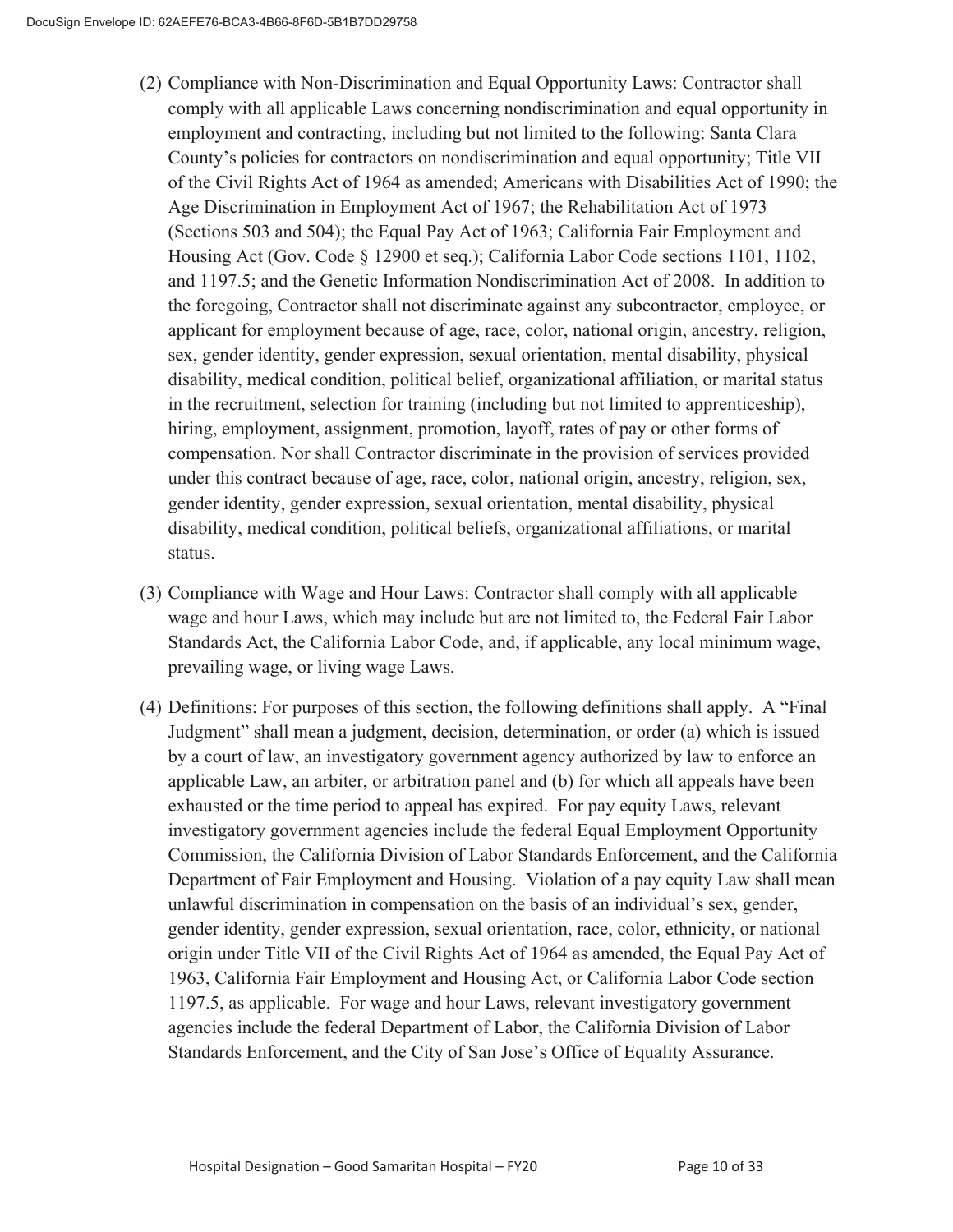- (2) Compliance with Non-Discrimination and Equal Opportunity Laws: Contractor shall comply with all applicable Laws concerning nondiscrimination and equal opportunity in employment and contracting, including but not limited to the following: Santa Clara County's policies for contractors on nondiscrimination and equal opportunity; Title VII of the Civil Rights Act of 1964 as amended; Americans with Disabilities Act of 1990; the Age Discrimination in Employment Act of 1967; the Rehabilitation Act of 1973 (Sections 503 and 504); the Equal Pay Act of 1963; California Fair Employment and Housing Act (Gov. Code § 12900 et seq.); California Labor Code sections 1101, 1102, and 1197.5; and the Genetic Information Nondiscrimination Act of 2008. In addition to the foregoing, Contractor shall not discriminate against any subcontractor, employee, or applicant for employment because of age, race, color, national origin, ancestry, religion, sex, gender identity, gender expression, sexual orientation, mental disability, physical disability, medical condition, political belief, organizational affiliation, or marital status in the recruitment, selection for training (including but not limited to apprenticeship), hiring, employment, assignment, promotion, layoff, rates of pay or other forms of compensation. Nor shall Contractor discriminate in the provision of services provided under this contract because of age, race, color, national origin, ancestry, religion, sex, gender identity, gender expression, sexual orientation, mental disability, physical disability, medical condition, political beliefs, organizational affiliations, or marital status.
- (3) Compliance with Wage and Hour Laws: Contractor shall comply with all applicable wage and hour Laws, which may include but are not limited to, the Federal Fair Labor Standards Act, the California Labor Code, and, if applicable, any local minimum wage, prevailing wage, or living wage Laws.
- (4) Definitions: For purposes of this section, the following definitions shall apply. A "Final Judgment" shall mean a judgment, decision, determination, or order (a) which is issued by a court of law, an investigatory government agency authorized by law to enforce an applicable Law, an arbiter, or arbitration panel and (b) for which all appeals have been exhausted or the time period to appeal has expired. For pay equity Laws, relevant investigatory government agencies include the federal Equal Employment Opportunity Commission, the California Division of Labor Standards Enforcement, and the California Department of Fair Employment and Housing. Violation of a pay equity Law shall mean unlawful discrimination in compensation on the basis of an individual's sex, gender, gender identity, gender expression, sexual orientation, race, color, ethnicity, or national origin under Title VII of the Civil Rights Act of 1964 as amended, the Equal Pay Act of 1963, California Fair Employment and Housing Act, or California Labor Code section 1197.5, as applicable. For wage and hour Laws, relevant investigatory government agencies include the federal Department of Labor, the California Division of Labor Standards Enforcement, and the City of San Jose's Office of Equality Assurance.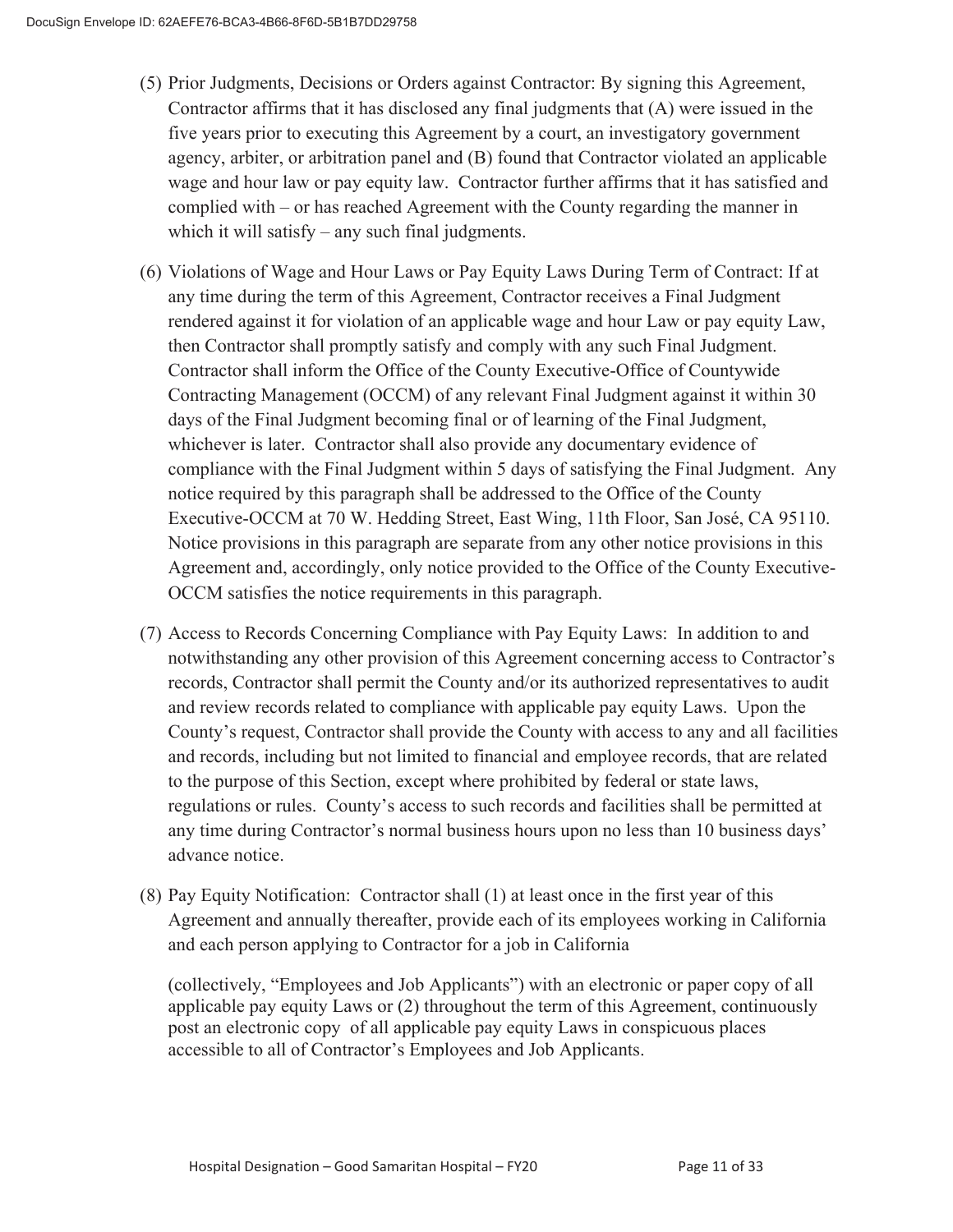- (5) Prior Judgments, Decisions or Orders against Contractor: By signing this Agreement, Contractor affirms that it has disclosed any final judgments that (A) were issued in the five years prior to executing this Agreement by a court, an investigatory government agency, arbiter, or arbitration panel and (B) found that Contractor violated an applicable wage and hour law or pay equity law. Contractor further affirms that it has satisfied and complied with – or has reached Agreement with the County regarding the manner in which it will satisfy – any such final judgments.
- (6) Violations of Wage and Hour Laws or Pay Equity Laws During Term of Contract: If at any time during the term of this Agreement, Contractor receives a Final Judgment rendered against it for violation of an applicable wage and hour Law or pay equity Law, then Contractor shall promptly satisfy and comply with any such Final Judgment. Contractor shall inform the Office of the County Executive-Office of Countywide Contracting Management (OCCM) of any relevant Final Judgment against it within 30 days of the Final Judgment becoming final or of learning of the Final Judgment, whichever is later. Contractor shall also provide any documentary evidence of compliance with the Final Judgment within 5 days of satisfying the Final Judgment. Any notice required by this paragraph shall be addressed to the Office of the County Executive-OCCM at 70 W. Hedding Street, East Wing, 11th Floor, San José, CA 95110. Notice provisions in this paragraph are separate from any other notice provisions in this Agreement and, accordingly, only notice provided to the Office of the County Executive-OCCM satisfies the notice requirements in this paragraph.
- (7) Access to Records Concerning Compliance with Pay Equity Laws: In addition to and notwithstanding any other provision of this Agreement concerning access to Contractor's records, Contractor shall permit the County and/or its authorized representatives to audit and review records related to compliance with applicable pay equity Laws. Upon the County's request, Contractor shall provide the County with access to any and all facilities and records, including but not limited to financial and employee records, that are related to the purpose of this Section, except where prohibited by federal or state laws, regulations or rules. County's access to such records and facilities shall be permitted at any time during Contractor's normal business hours upon no less than 10 business days' advance notice.
- (8) Pay Equity Notification: Contractor shall (1) at least once in the first year of this Agreement and annually thereafter, provide each of its employees working in California and each person applying to Contractor for a job in California

(collectively, "Employees and Job Applicants") with an electronic or paper copy of all applicable pay equity Laws or (2) throughout the term of this Agreement, continuously post an electronic copy of all applicable pay equity Laws in conspicuous places accessible to all of Contractor's Employees and Job Applicants.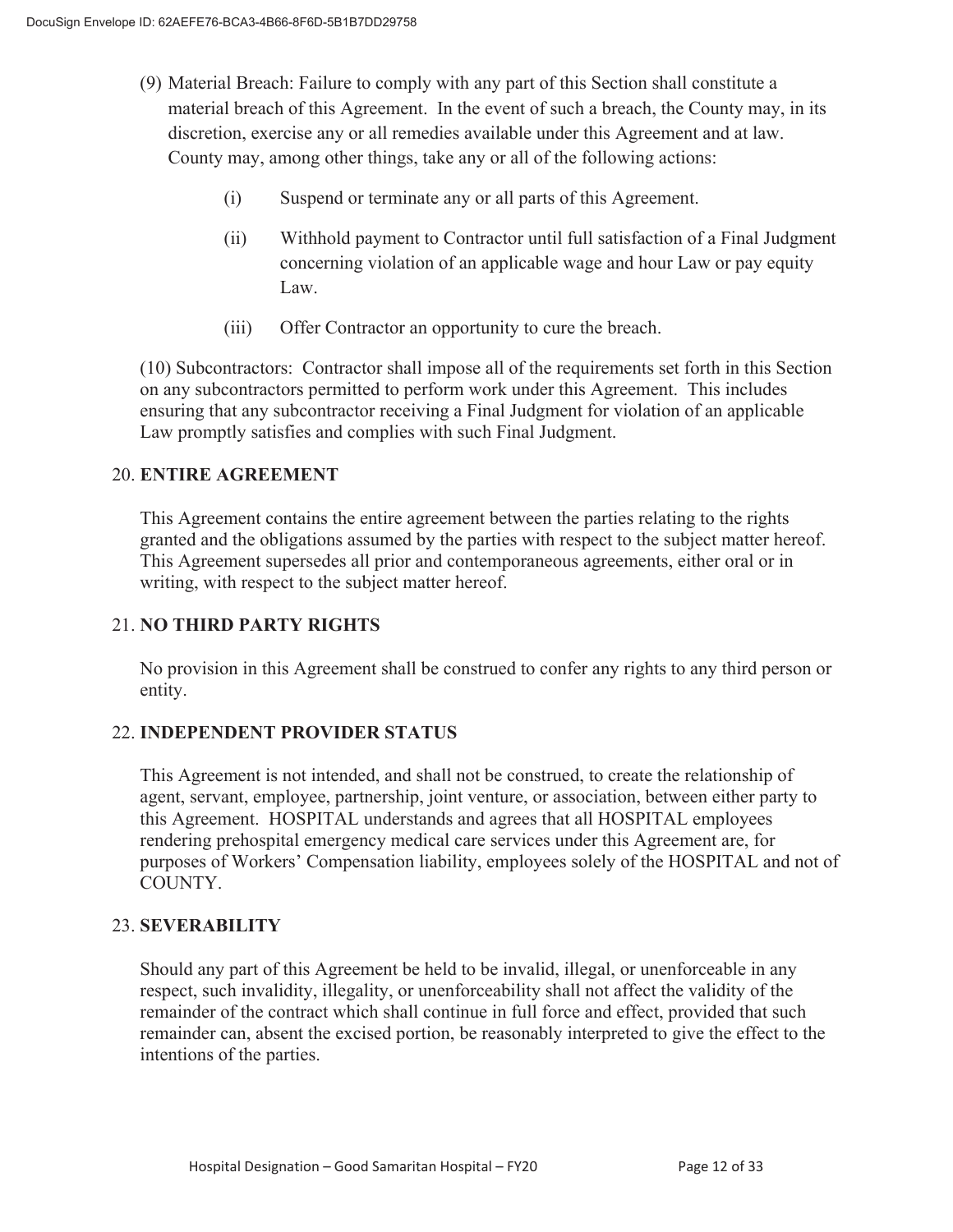- (9) Material Breach: Failure to comply with any part of this Section shall constitute a material breach of this Agreement. In the event of such a breach, the County may, in its discretion, exercise any or all remedies available under this Agreement and at law. County may, among other things, take any or all of the following actions:
	- (i) Suspend or terminate any or all parts of this Agreement.
	- (ii) Withhold payment to Contractor until full satisfaction of a Final Judgment concerning violation of an applicable wage and hour Law or pay equity Law.
	- (iii) Offer Contractor an opportunity to cure the breach.

(10) Subcontractors: Contractor shall impose all of the requirements set forth in this Section on any subcontractors permitted to perform work under this Agreement. This includes ensuring that any subcontractor receiving a Final Judgment for violation of an applicable Law promptly satisfies and complies with such Final Judgment.

# 20. **ENTIRE AGREEMENT**

 This Agreement contains the entire agreement between the parties relating to the rights granted and the obligations assumed by the parties with respect to the subject matter hereof. This Agreement supersedes all prior and contemporaneous agreements, either oral or in writing, with respect to the subject matter hereof.

# 21. **NO THIRD PARTY RIGHTS**

No provision in this Agreement shall be construed to confer any rights to any third person or entity.

# 22. **INDEPENDENT PROVIDER STATUS**

This Agreement is not intended, and shall not be construed, to create the relationship of agent, servant, employee, partnership, joint venture, or association, between either party to this Agreement. HOSPITAL understands and agrees that all HOSPITAL employees rendering prehospital emergency medical care services under this Agreement are, for purposes of Workers' Compensation liability, employees solely of the HOSPITAL and not of COUNTY.

# 23. **SEVERABILITY**

Should any part of this Agreement be held to be invalid, illegal, or unenforceable in any respect, such invalidity, illegality, or unenforceability shall not affect the validity of the remainder of the contract which shall continue in full force and effect, provided that such remainder can, absent the excised portion, be reasonably interpreted to give the effect to the intentions of the parties.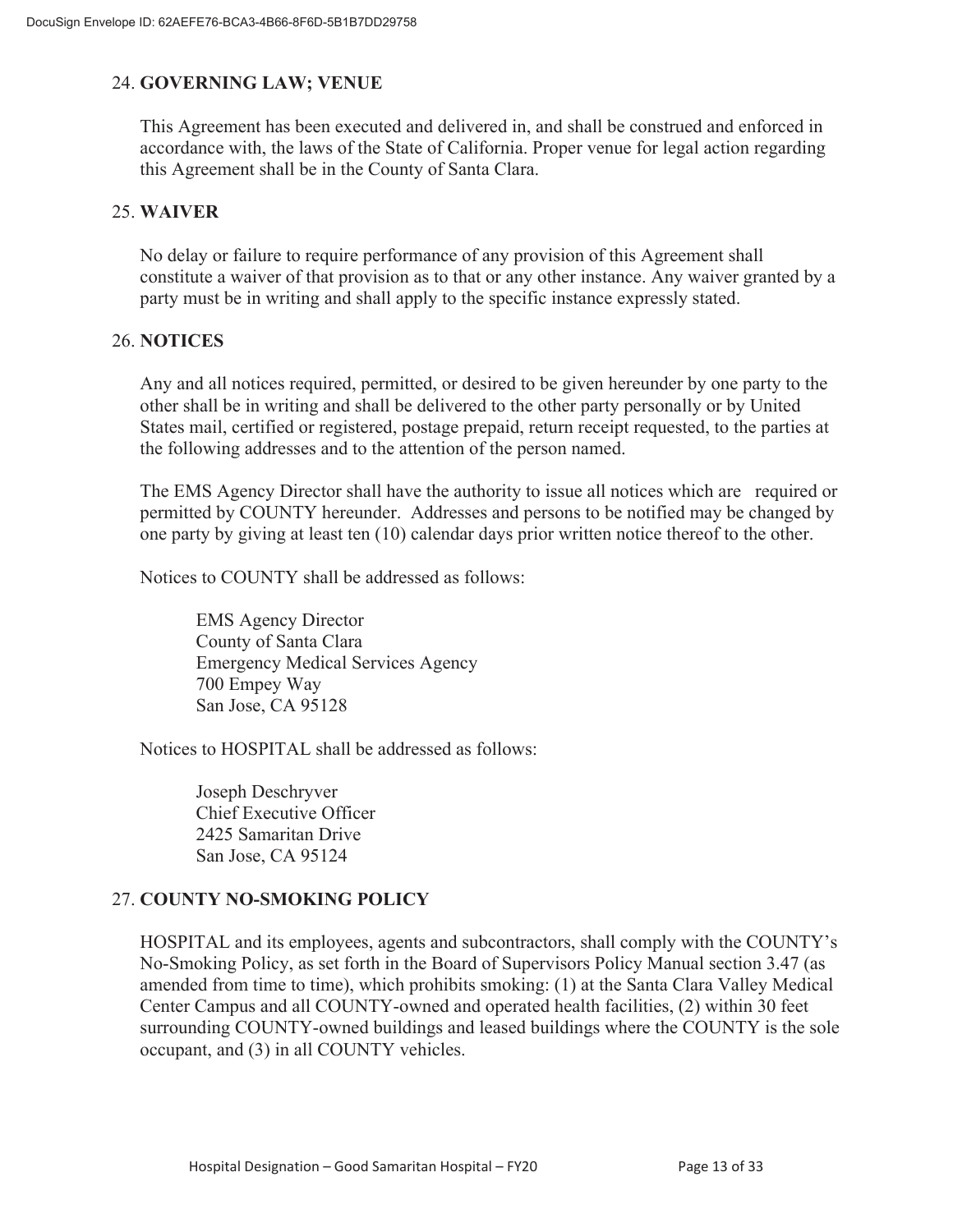# 24. **GOVERNING LAW; VENUE**

This Agreement has been executed and delivered in, and shall be construed and enforced in accordance with, the laws of the State of California. Proper venue for legal action regarding this Agreement shall be in the County of Santa Clara.

## 25. **WAIVER**

No delay or failure to require performance of any provision of this Agreement shall constitute a waiver of that provision as to that or any other instance. Any waiver granted by a party must be in writing and shall apply to the specific instance expressly stated.

## 26. **NOTICES**

Any and all notices required, permitted, or desired to be given hereunder by one party to the other shall be in writing and shall be delivered to the other party personally or by United States mail, certified or registered, postage prepaid, return receipt requested, to the parties at the following addresses and to the attention of the person named.

The EMS Agency Director shall have the authority to issue all notices which are required or permitted by COUNTY hereunder. Addresses and persons to be notified may be changed by one party by giving at least ten (10) calendar days prior written notice thereof to the other.

Notices to COUNTY shall be addressed as follows:

EMS Agency Director County of Santa Clara Emergency Medical Services Agency 700 Empey Way San Jose, CA 95128

Notices to HOSPITAL shall be addressed as follows:

Joseph Deschryver Chief Executive Officer 2425 Samaritan Drive San Jose, CA 95124

# 27. **COUNTY NO-SMOKING POLICY**

HOSPITAL and its employees, agents and subcontractors, shall comply with the COUNTY's No-Smoking Policy, as set forth in the Board of Supervisors Policy Manual section 3.47 (as amended from time to time), which prohibits smoking: (1) at the Santa Clara Valley Medical Center Campus and all COUNTY-owned and operated health facilities, (2) within 30 feet surrounding COUNTY-owned buildings and leased buildings where the COUNTY is the sole occupant, and (3) in all COUNTY vehicles.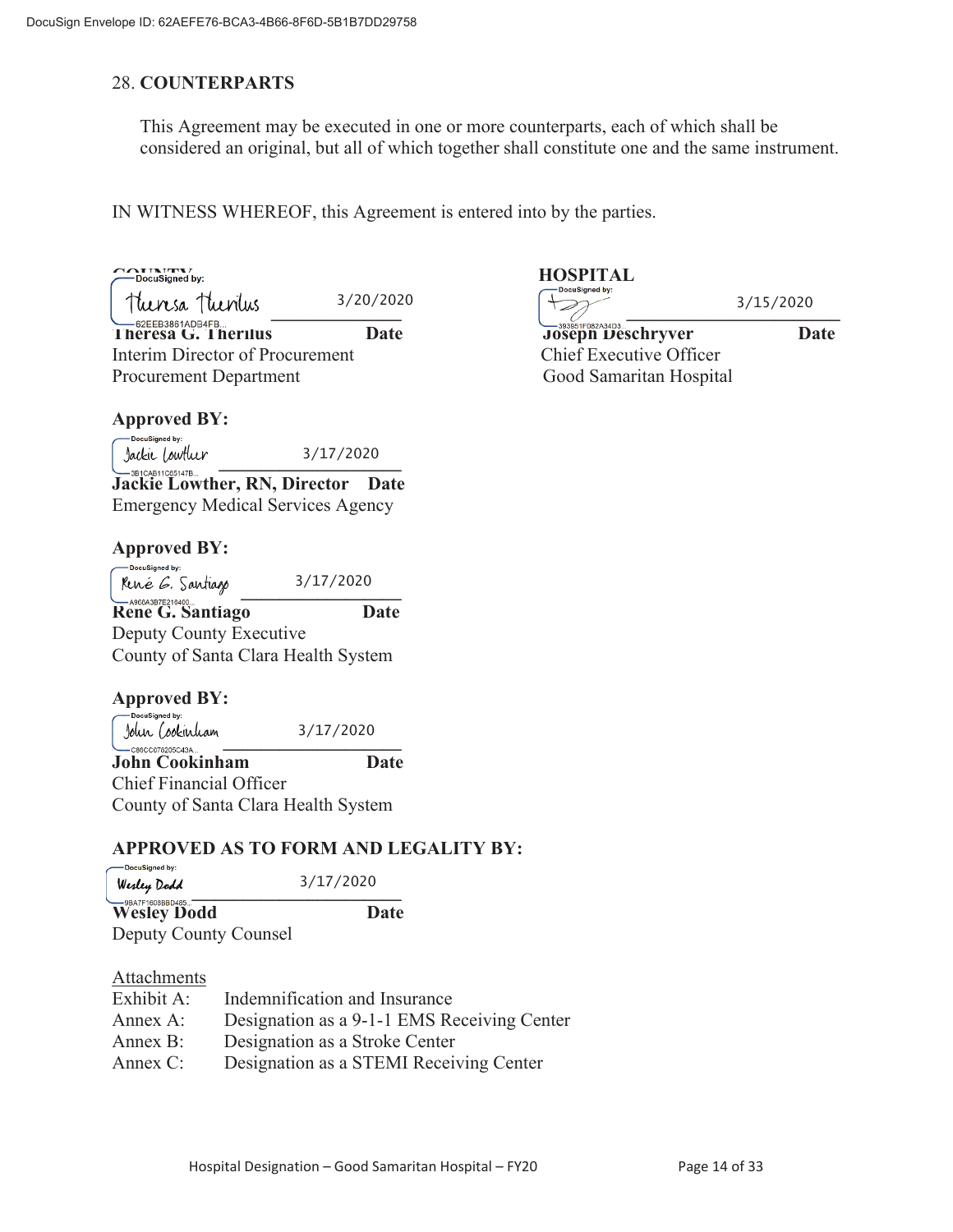## 28. **COUNTERPARTS**

This Agreement may be executed in one or more counterparts, each of which shall be considered an original, but all of which together shall constitute one and the same instrument.

IN WITNESS WHEREOF, this Agreement is entered into by the parties.

3/20/2020

 $\frac{1}{2}$ **Theresa G. Therilus Date Joseph Deschryver Date**  Interim Director of Procurement Chief Executive Officer Procurement Department Cool Samaritan Hospital

#### **Approved BY:**

-DocuSigned by: 3/17/2020 **\_\_\_\_\_\_\_\_\_\_\_\_\_\_\_\_\_\_\_\_\_\_\_\_\_\_\_\_\_\_\_**

**Jackie Lowther, RN, Director Date** Emergency Medical Services Agency

# **Approved BY:**

DocuSigned by: 3/17/2020  $Mue \& B. Sautiago$   $3/11/2020$ **Rene G. Santiago Date**  Deputy County Executive County of Santa Clara Health System

# **Approved BY:**<br>  $\sum_{\text{Docusigned by:}}$

  $\frac{1}{2}$   $\frac{1}{2}$   $\frac{1}{2}$   $\frac{1}{2}$   $\frac{1}{2}$   $\frac{1}{2}$   $\frac{1}{2}$   $\frac{1}{2}$   $\frac{1}{2}$   $\frac{1}{2}$   $\frac{1}{2}$   $\frac{1}{2}$   $\frac{1}{2}$   $\frac{1}{2}$   $\frac{1}{2}$   $\frac{1}{2}$   $\frac{1}{2}$   $\frac{1}{2}$   $\frac{1}{2}$   $\frac{1}{2}$   $\frac{1}{2}$   $\frac{1}{2}$  3/17/2020

**John Cookinham Date** Chief Financial Officer County of Santa Clara Health System

# **APPROVED AS TO FORM AND LEGALITY BY:**

| DocuSigned by:<br>Werley Dodd          | 3/17/2020 |
|----------------------------------------|-----------|
| -9BA7F1608BBD485<br><b>Wesley Dodd</b> | Date      |

Deputy County Counsel

## Attachments

| Exhibit A:  | Indemnification and Insurance               |
|-------------|---------------------------------------------|
| Annex A:    | Designation as a 9-1-1 EMS Receiving Center |
| Annex B:    | Designation as a Stroke Center              |
| Annex $C$ : | Designation as a STEMI Receiving Center     |

# **COUNTY COUNTY AND SET ALL SECURITY CONTRACT AND SET ALL SOLUTION CONTRACT AND SECURITY OF ALL SOLUTION CONTRACT ALL SOLUTION CONTRACT AND SECURITY OF ALL SOLUTION CONTRACT AND SECURITY OF ALL SOLUTION CONTRACT AND SECURIT**

3/15/2020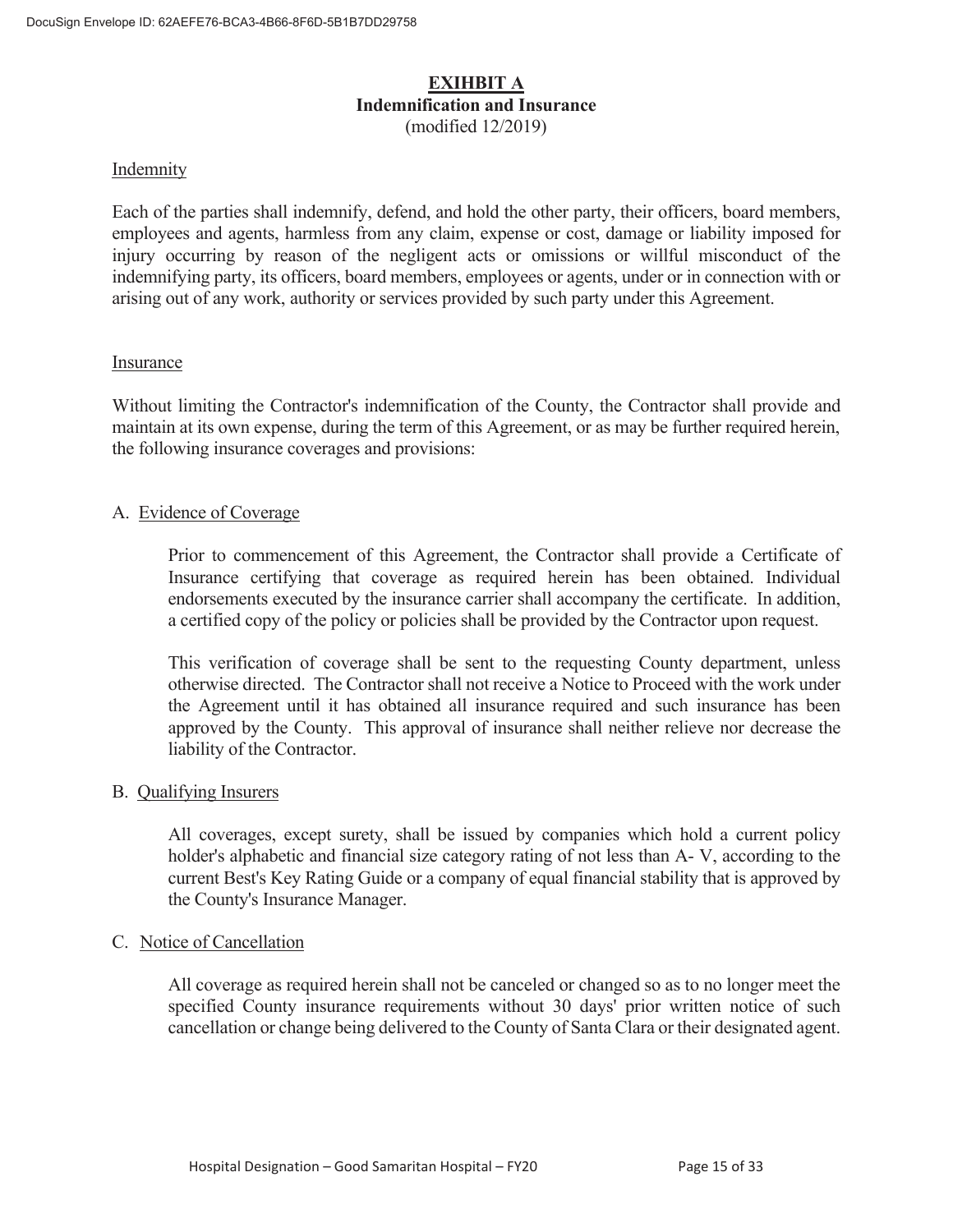#### **EXIHBIT A Indemnification and Insurance**  (modified 12/2019)

#### Indemnity

Each of the parties shall indemnify, defend, and hold the other party, their officers, board members, employees and agents, harmless from any claim, expense or cost, damage or liability imposed for injury occurring by reason of the negligent acts or omissions or willful misconduct of the indemnifying party, its officers, board members, employees or agents, under or in connection with or arising out of any work, authority or services provided by such party under this Agreement.

#### Insurance

Without limiting the Contractor's indemnification of the County, the Contractor shall provide and maintain at its own expense, during the term of this Agreement, or as may be further required herein, the following insurance coverages and provisions:

#### A. Evidence of Coverage

 Prior to commencement of this Agreement, the Contractor shall provide a Certificate of Insurance certifying that coverage as required herein has been obtained. Individual endorsements executed by the insurance carrier shall accompany the certificate. In addition, a certified copy of the policy or policies shall be provided by the Contractor upon request.

 This verification of coverage shall be sent to the requesting County department, unless otherwise directed. The Contractor shall not receive a Notice to Proceed with the work under the Agreement until it has obtained all insurance required and such insurance has been approved by the County. This approval of insurance shall neither relieve nor decrease the liability of the Contractor.

#### B. Qualifying Insurers

 All coverages, except surety, shall be issued by companies which hold a current policy holder's alphabetic and financial size category rating of not less than A- V, according to the current Best's Key Rating Guide or a company of equal financial stability that is approved by the County's Insurance Manager.

#### C. Notice of Cancellation

All coverage as required herein shall not be canceled or changed so as to no longer meet the specified County insurance requirements without 30 days' prior written notice of such cancellation or change being delivered to the County of Santa Clara or their designated agent.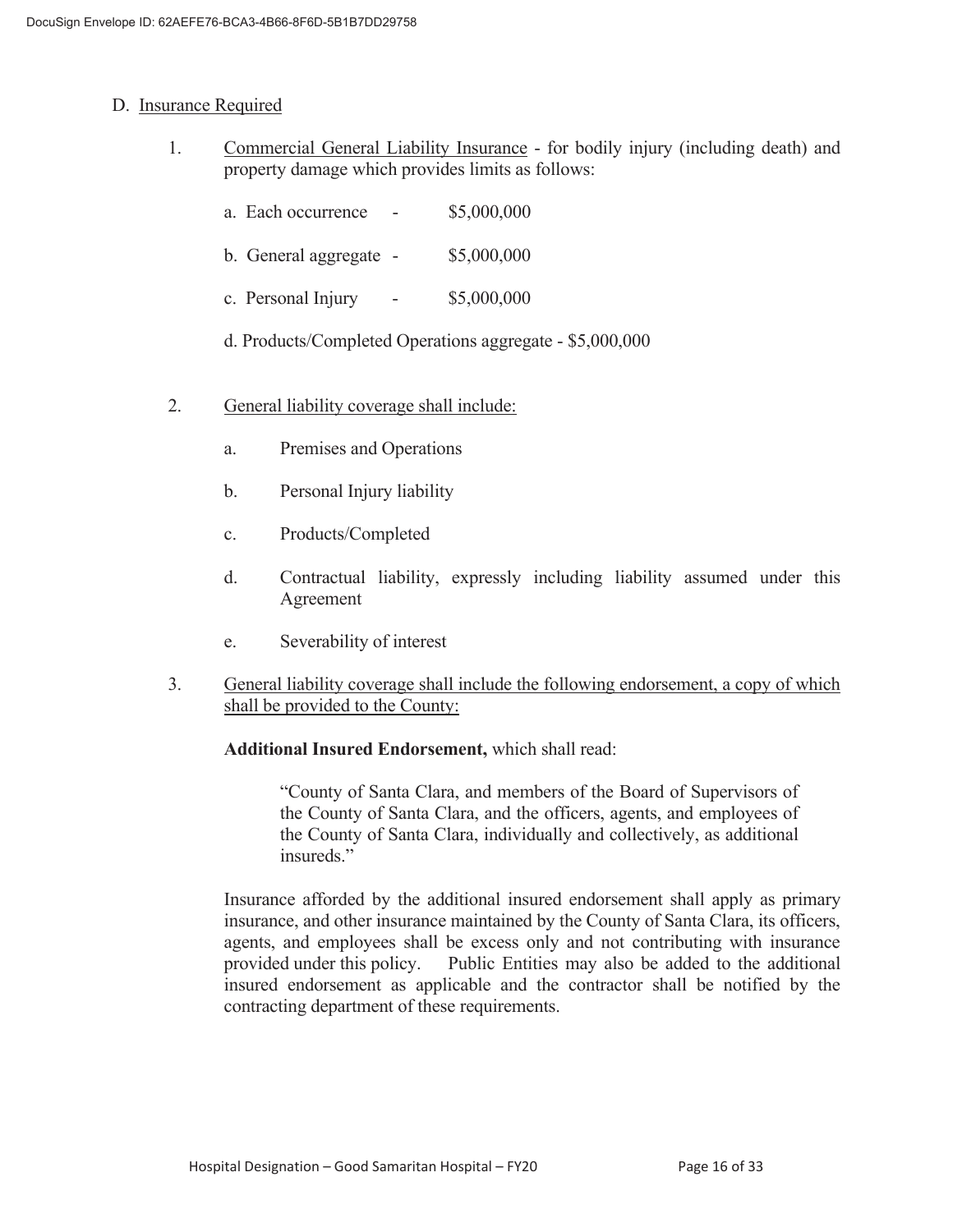#### D. Insurance Required

- 1. Commercial General Liability Insurance for bodily injury (including death) and property damage which provides limits as follows:
	- a. Each occurrence \$5,000,000
	- b. General aggregate \$5,000,000
	- c. Personal Injury \$5,000,000
	- d. Products/Completed Operations aggregate \$5,000,000
- 2. General liability coverage shall include:
	- a. Premises and Operations
	- b. Personal Injury liability
	- c. Products/Completed
	- d. Contractual liability, expressly including liability assumed under this Agreement
	- e. Severability of interest
- 3. General liability coverage shall include the following endorsement, a copy of which shall be provided to the County:

#### **Additional Insured Endorsement,** which shall read:

 "County of Santa Clara, and members of the Board of Supervisors of the County of Santa Clara, and the officers, agents, and employees of the County of Santa Clara, individually and collectively, as additional insureds."

 Insurance afforded by the additional insured endorsement shall apply as primary insurance, and other insurance maintained by the County of Santa Clara, its officers, agents, and employees shall be excess only and not contributing with insurance provided under this policy. Public Entities may also be added to the additional insured endorsement as applicable and the contractor shall be notified by the contracting department of these requirements.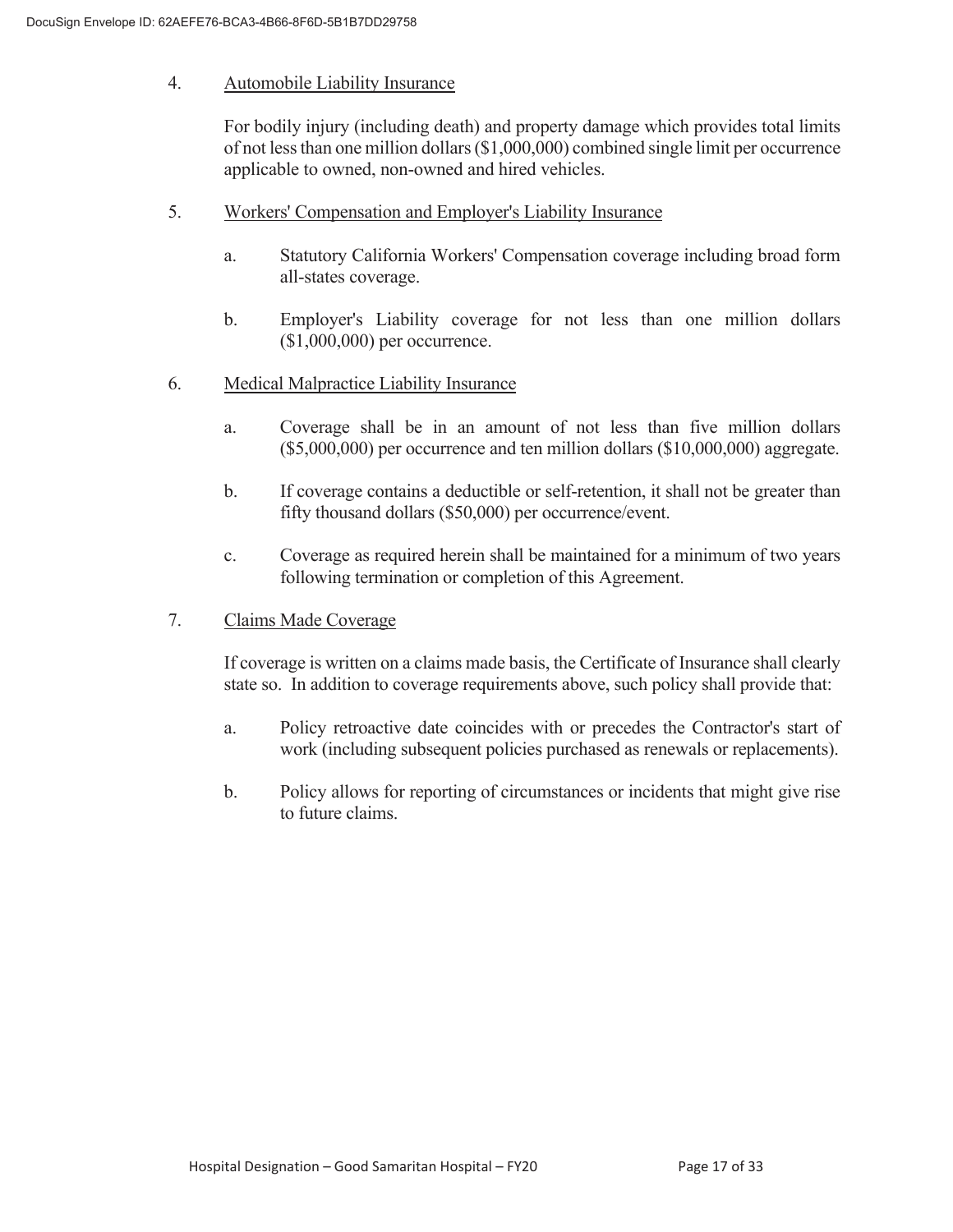#### 4. Automobile Liability Insurance

 For bodily injury (including death) and property damage which provides total limits of not less than one million dollars (\$1,000,000) combined single limit per occurrence applicable to owned, non-owned and hired vehicles.

- 5. Workers' Compensation and Employer's Liability Insurance
	- a. Statutory California Workers' Compensation coverage including broad form all-states coverage.
	- b. Employer's Liability coverage for not less than one million dollars (\$1,000,000) per occurrence.
- 6. Medical Malpractice Liability Insurance
	- a. Coverage shall be in an amount of not less than five million dollars (\$5,000,000) per occurrence and ten million dollars (\$10,000,000) aggregate.
	- b. If coverage contains a deductible or self-retention, it shall not be greater than fifty thousand dollars (\$50,000) per occurrence/event.
	- c. Coverage as required herein shall be maintained for a minimum of two years following termination or completion of this Agreement.
- 7. Claims Made Coverage

 If coverage is written on a claims made basis, the Certificate of Insurance shall clearly state so. In addition to coverage requirements above, such policy shall provide that:

- a. Policy retroactive date coincides with or precedes the Contractor's start of work (including subsequent policies purchased as renewals or replacements).
- b. Policy allows for reporting of circumstances or incidents that might give rise to future claims.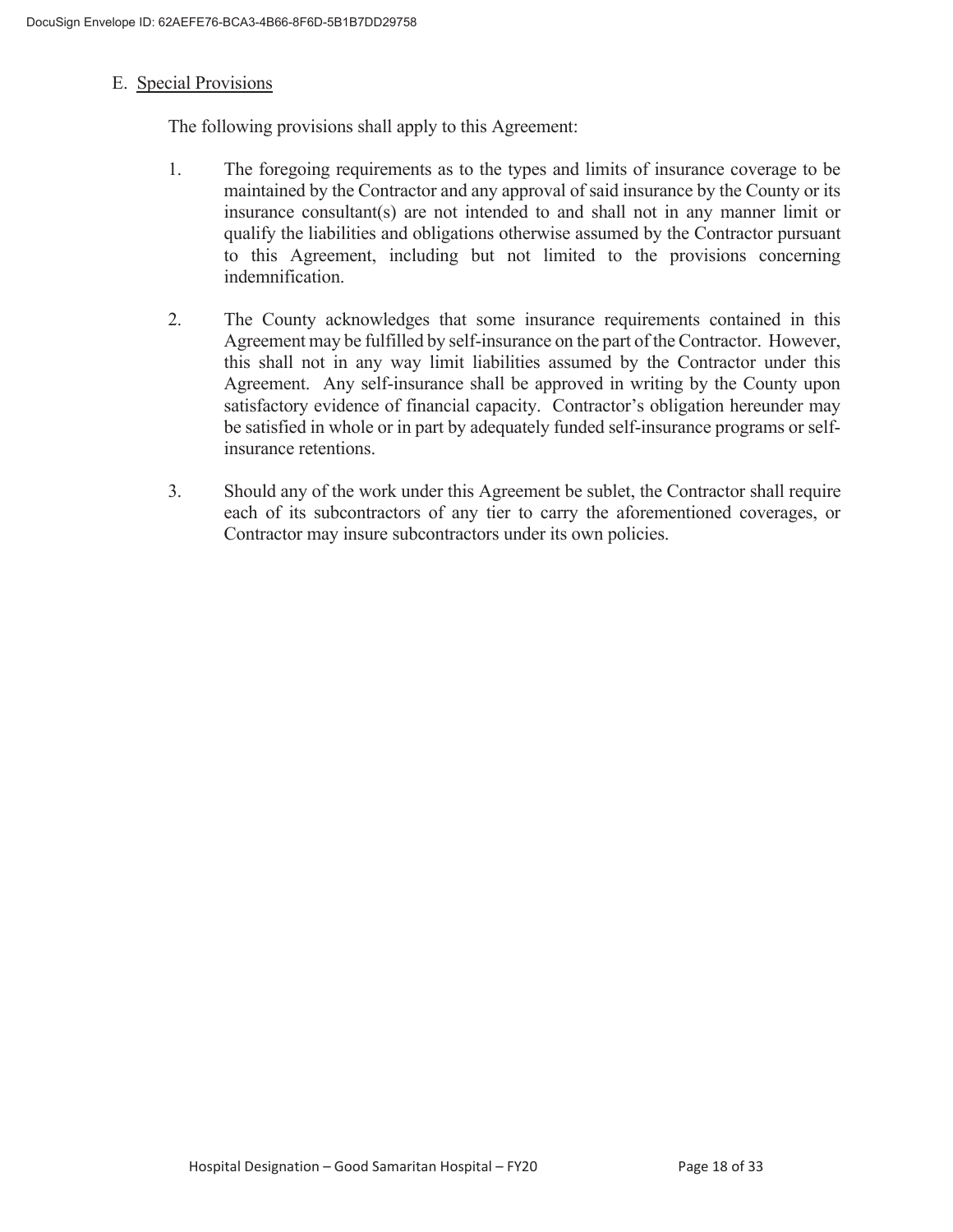#### E. Special Provisions

The following provisions shall apply to this Agreement:

- 1. The foregoing requirements as to the types and limits of insurance coverage to be maintained by the Contractor and any approval of said insurance by the County or its insurance consultant(s) are not intended to and shall not in any manner limit or qualify the liabilities and obligations otherwise assumed by the Contractor pursuant to this Agreement, including but not limited to the provisions concerning indemnification.
- 2. The County acknowledges that some insurance requirements contained in this Agreement may be fulfilled by self-insurance on the part of the Contractor. However, this shall not in any way limit liabilities assumed by the Contractor under this Agreement. Any self-insurance shall be approved in writing by the County upon satisfactory evidence of financial capacity. Contractor's obligation hereunder may be satisfied in whole or in part by adequately funded self-insurance programs or selfinsurance retentions.
- 3. Should any of the work under this Agreement be sublet, the Contractor shall require each of its subcontractors of any tier to carry the aforementioned coverages, or Contractor may insure subcontractors under its own policies.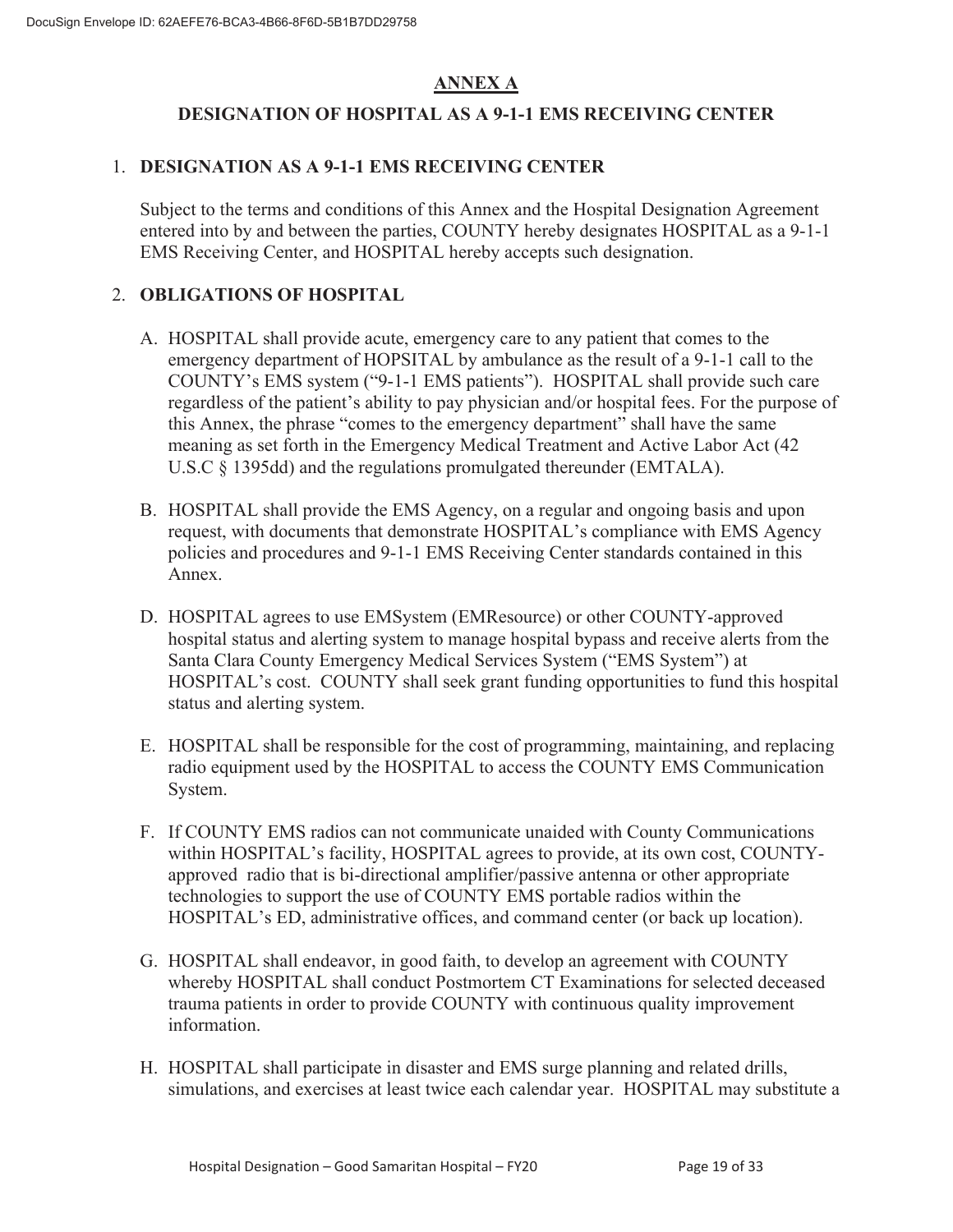# **ANNEX A**

# **DESIGNATION OF HOSPITAL AS A 9-1-1 EMS RECEIVING CENTER**

# 1. **DESIGNATION AS A 9-1-1 EMS RECEIVING CENTER**

Subject to the terms and conditions of this Annex and the Hospital Designation Agreement entered into by and between the parties, COUNTY hereby designates HOSPITAL as a 9-1-1 EMS Receiving Center, and HOSPITAL hereby accepts such designation.

# 2. **OBLIGATIONS OF HOSPITAL**

- A. HOSPITAL shall provide acute, emergency care to any patient that comes to the emergency department of HOPSITAL by ambulance as the result of a 9-1-1 call to the COUNTY's EMS system ("9-1-1 EMS patients"). HOSPITAL shall provide such care regardless of the patient's ability to pay physician and/or hospital fees. For the purpose of this Annex, the phrase "comes to the emergency department" shall have the same meaning as set forth in the Emergency Medical Treatment and Active Labor Act (42 U.S.C § 1395dd) and the regulations promulgated thereunder (EMTALA).
- B. HOSPITAL shall provide the EMS Agency, on a regular and ongoing basis and upon request, with documents that demonstrate HOSPITAL's compliance with EMS Agency policies and procedures and 9-1-1 EMS Receiving Center standards contained in this Annex.
- D. HOSPITAL agrees to use EMSystem (EMResource) or other COUNTY-approved hospital status and alerting system to manage hospital bypass and receive alerts from the Santa Clara County Emergency Medical Services System ("EMS System") at HOSPITAL's cost. COUNTY shall seek grant funding opportunities to fund this hospital status and alerting system.
- E. HOSPITAL shall be responsible for the cost of programming, maintaining, and replacing radio equipment used by the HOSPITAL to access the COUNTY EMS Communication System.
- F. If COUNTY EMS radios can not communicate unaided with County Communications within HOSPITAL's facility, HOSPITAL agrees to provide, at its own cost, COUNTYapproved radio that is bi-directional amplifier/passive antenna or other appropriate technologies to support the use of COUNTY EMS portable radios within the HOSPITAL's ED, administrative offices, and command center (or back up location).
- G. HOSPITAL shall endeavor, in good faith, to develop an agreement with COUNTY whereby HOSPITAL shall conduct Postmortem CT Examinations for selected deceased trauma patients in order to provide COUNTY with continuous quality improvement information.
- H. HOSPITAL shall participate in disaster and EMS surge planning and related drills, simulations, and exercises at least twice each calendar year. HOSPITAL may substitute a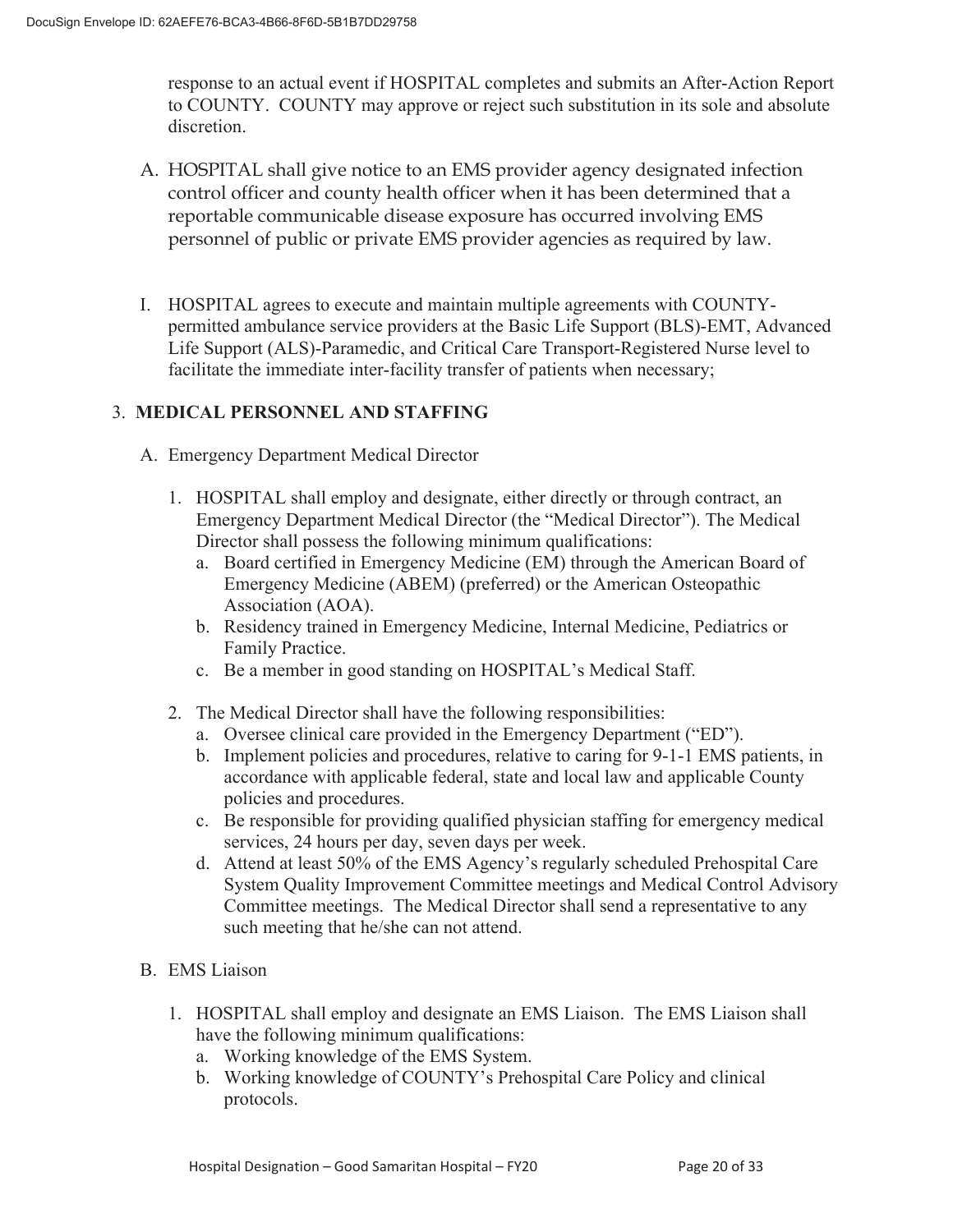response to an actual event if HOSPITAL completes and submits an After-Action Report to COUNTY. COUNTY may approve or reject such substitution in its sole and absolute discretion.

- A. HOSPITAL shall give notice to an EMS provider agency designated infection control officer and county health officer when it has been determined that a reportable communicable disease exposure has occurred involving EMS personnel of public or private EMS provider agencies as required by law.
- I. HOSPITAL agrees to execute and maintain multiple agreements with COUNTYpermitted ambulance service providers at the Basic Life Support (BLS)-EMT, Advanced Life Support (ALS)-Paramedic, and Critical Care Transport-Registered Nurse level to facilitate the immediate inter-facility transfer of patients when necessary;

# 3. **MEDICAL PERSONNEL AND STAFFING**

- A. Emergency Department Medical Director
	- 1. HOSPITAL shall employ and designate, either directly or through contract, an Emergency Department Medical Director (the "Medical Director"). The Medical Director shall possess the following minimum qualifications:
		- a. Board certified in Emergency Medicine (EM) through the American Board of Emergency Medicine (ABEM) (preferred) or the American Osteopathic Association (AOA).
		- b. Residency trained in Emergency Medicine, Internal Medicine, Pediatrics or Family Practice.
		- c. Be a member in good standing on HOSPITAL's Medical Staff.
	- 2. The Medical Director shall have the following responsibilities:
		- a. Oversee clinical care provided in the Emergency Department ("ED").
		- b. Implement policies and procedures, relative to caring for 9-1-1 EMS patients, in accordance with applicable federal, state and local law and applicable County policies and procedures.
		- c. Be responsible for providing qualified physician staffing for emergency medical services, 24 hours per day, seven days per week.
		- d. Attend at least 50% of the EMS Agency's regularly scheduled Prehospital Care System Quality Improvement Committee meetings and Medical Control Advisory Committee meetings. The Medical Director shall send a representative to any such meeting that he/she can not attend.
- B. EMS Liaison
	- 1. HOSPITAL shall employ and designate an EMS Liaison. The EMS Liaison shall have the following minimum qualifications:
		- a. Working knowledge of the EMS System.
		- b. Working knowledge of COUNTY's Prehospital Care Policy and clinical protocols.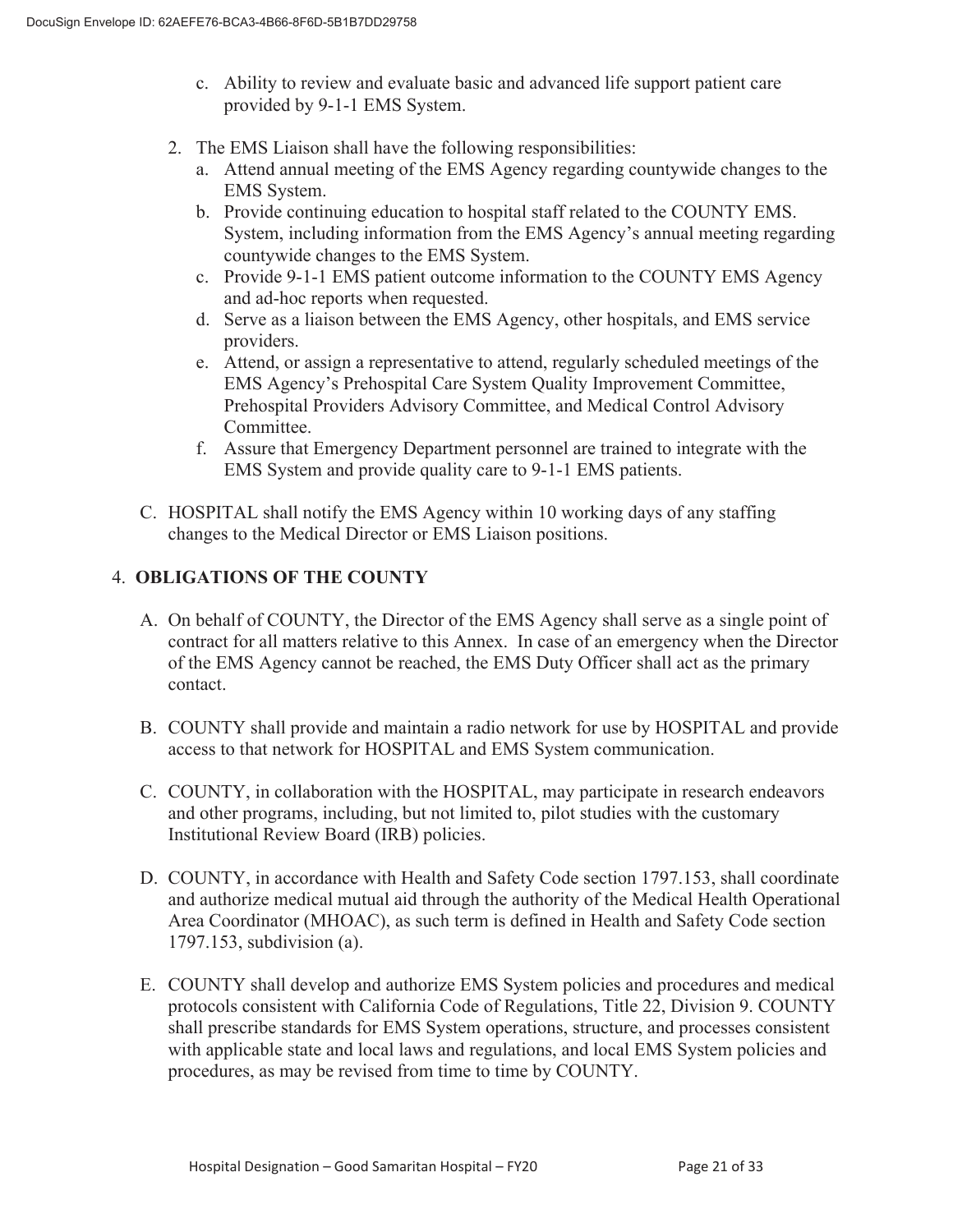- c. Ability to review and evaluate basic and advanced life support patient care provided by 9-1-1 EMS System.
- 2. The EMS Liaison shall have the following responsibilities:
	- a. Attend annual meeting of the EMS Agency regarding countywide changes to the EMS System.
	- b. Provide continuing education to hospital staff related to the COUNTY EMS. System, including information from the EMS Agency's annual meeting regarding countywide changes to the EMS System.
	- c. Provide 9-1-1 EMS patient outcome information to the COUNTY EMS Agency and ad-hoc reports when requested.
	- d. Serve as a liaison between the EMS Agency, other hospitals, and EMS service providers.
	- e. Attend, or assign a representative to attend, regularly scheduled meetings of the EMS Agency's Prehospital Care System Quality Improvement Committee, Prehospital Providers Advisory Committee, and Medical Control Advisory Committee.
	- f. Assure that Emergency Department personnel are trained to integrate with the EMS System and provide quality care to 9-1-1 EMS patients.
- C. HOSPITAL shall notify the EMS Agency within 10 working days of any staffing changes to the Medical Director or EMS Liaison positions.

# 4. **OBLIGATIONS OF THE COUNTY**

- A. On behalf of COUNTY, the Director of the EMS Agency shall serve as a single point of contract for all matters relative to this Annex. In case of an emergency when the Director of the EMS Agency cannot be reached, the EMS Duty Officer shall act as the primary contact.
- B. COUNTY shall provide and maintain a radio network for use by HOSPITAL and provide access to that network for HOSPITAL and EMS System communication.
- C. COUNTY, in collaboration with the HOSPITAL, may participate in research endeavors and other programs, including, but not limited to, pilot studies with the customary Institutional Review Board (IRB) policies.
- D. COUNTY, in accordance with Health and Safety Code section 1797.153, shall coordinate and authorize medical mutual aid through the authority of the Medical Health Operational Area Coordinator (MHOAC), as such term is defined in Health and Safety Code section 1797.153, subdivision (a).
- E. COUNTY shall develop and authorize EMS System policies and procedures and medical protocols consistent with California Code of Regulations, Title 22, Division 9. COUNTY shall prescribe standards for EMS System operations, structure, and processes consistent with applicable state and local laws and regulations, and local EMS System policies and procedures, as may be revised from time to time by COUNTY.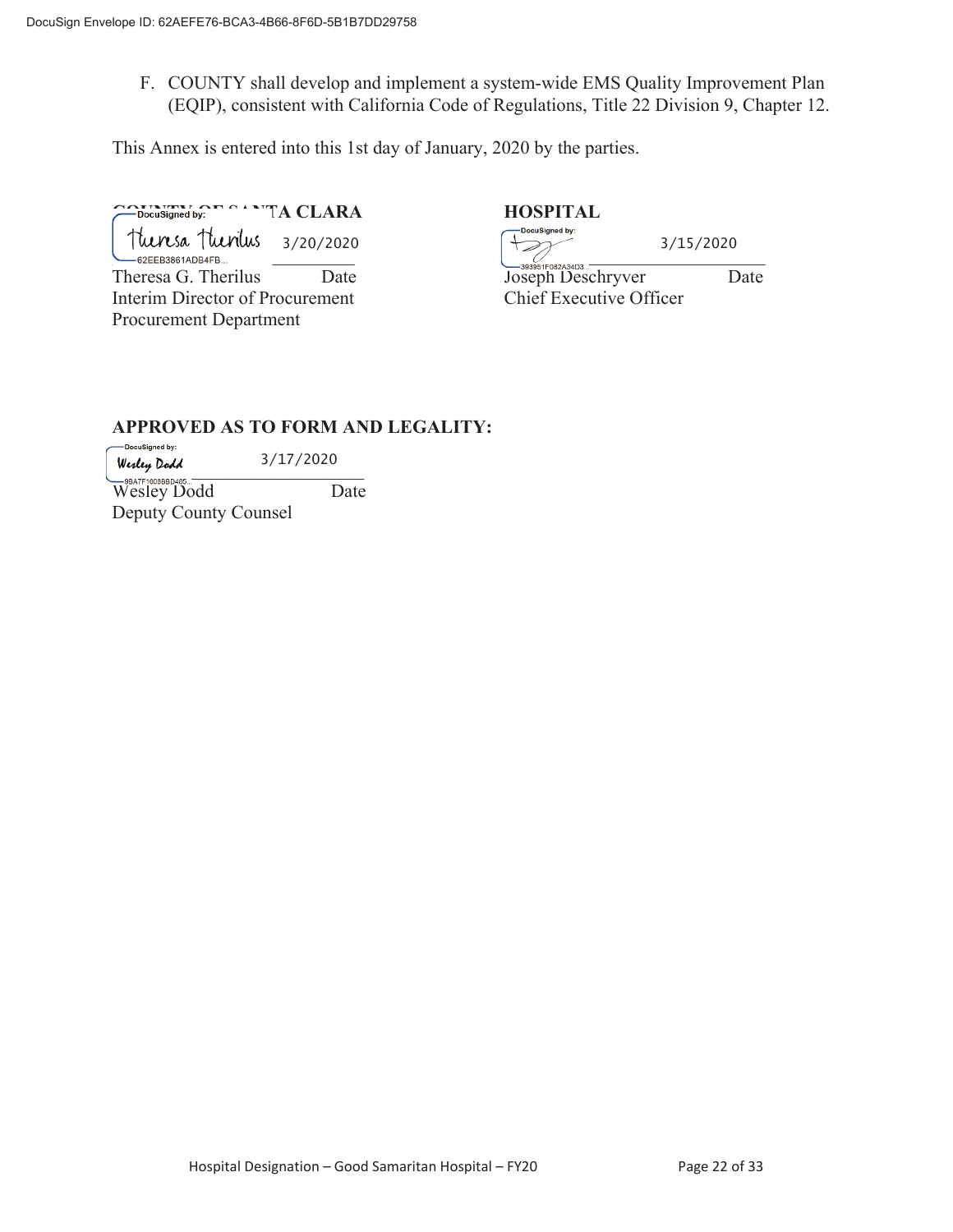F. COUNTY shall develop and implement a system-wide EMS Quality Improvement Plan (EQIP), consistent with California Code of Regulations, Title 22 Division 9, Chapter 12.

This Annex is entered into this 1st day of January, 2020 by the parties.

**CONSigned by:** The Santa CLARA HOSPITAL HOSPITAL **HOSPITAL** Tuenesa Tuenius<br><sub>—62EEB3861ADB4FB...</sub> Interim Director of Procurement Chief Executive Officer Procurement Department 3/20/2020

Theresa G. Therilus Date Joseph Deschryver Date 3/15/2020

## **APPROVED AS TO FORM AND LEGALITY:**

-DocuSigned by: 3/17/2020  $W$ esley Dodd  $U$   $\rightarrow$   $U$   $\rightarrow$   $U$   $\rightarrow$   $U$ 

Wesley Dodd Date Deputy County Counsel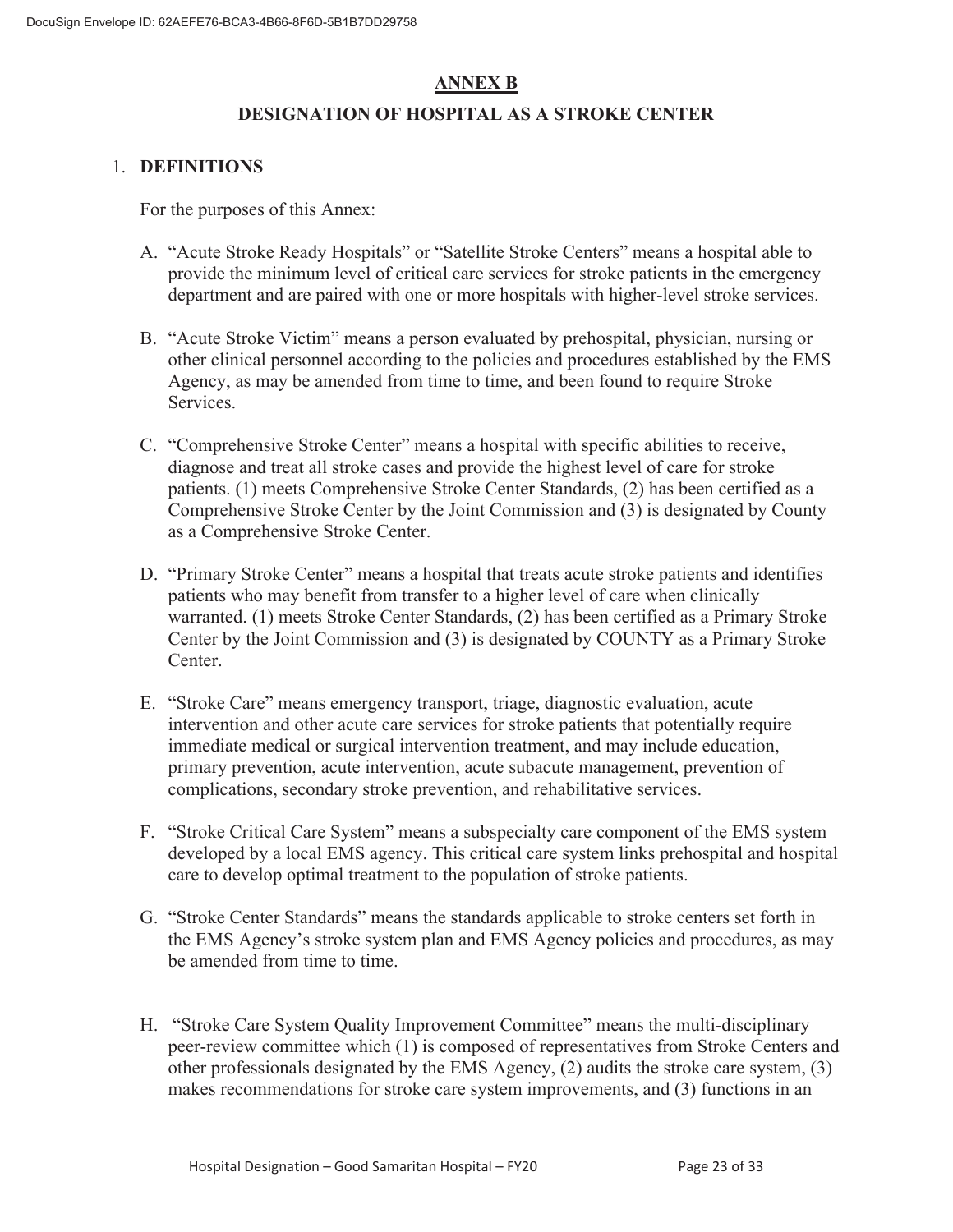# **ANNEX B**

# **DESIGNATION OF HOSPITAL AS A STROKE CENTER**

#### 1. **DEFINITIONS**

For the purposes of this Annex:

- A. "Acute Stroke Ready Hospitals" or "Satellite Stroke Centers" means a hospital able to provide the minimum level of critical care services for stroke patients in the emergency department and are paired with one or more hospitals with higher-level stroke services.
- B. "Acute Stroke Victim" means a person evaluated by prehospital, physician, nursing or other clinical personnel according to the policies and procedures established by the EMS Agency, as may be amended from time to time, and been found to require Stroke Services.
- C. "Comprehensive Stroke Center" means a hospital with specific abilities to receive, diagnose and treat all stroke cases and provide the highest level of care for stroke patients. (1) meets Comprehensive Stroke Center Standards, (2) has been certified as a Comprehensive Stroke Center by the Joint Commission and (3) is designated by County as a Comprehensive Stroke Center.
- D. "Primary Stroke Center" means a hospital that treats acute stroke patients and identifies patients who may benefit from transfer to a higher level of care when clinically warranted. (1) meets Stroke Center Standards, (2) has been certified as a Primary Stroke Center by the Joint Commission and (3) is designated by COUNTY as a Primary Stroke Center.
- E. "Stroke Care" means emergency transport, triage, diagnostic evaluation, acute intervention and other acute care services for stroke patients that potentially require immediate medical or surgical intervention treatment, and may include education, primary prevention, acute intervention, acute subacute management, prevention of complications, secondary stroke prevention, and rehabilitative services.
- F. "Stroke Critical Care System" means a subspecialty care component of the EMS system developed by a local EMS agency. This critical care system links prehospital and hospital care to develop optimal treatment to the population of stroke patients.
- G. "Stroke Center Standards" means the standards applicable to stroke centers set forth in the EMS Agency's stroke system plan and EMS Agency policies and procedures, as may be amended from time to time.
- H. "Stroke Care System Quality Improvement Committee" means the multi-disciplinary peer-review committee which (1) is composed of representatives from Stroke Centers and other professionals designated by the EMS Agency, (2) audits the stroke care system, (3) makes recommendations for stroke care system improvements, and (3) functions in an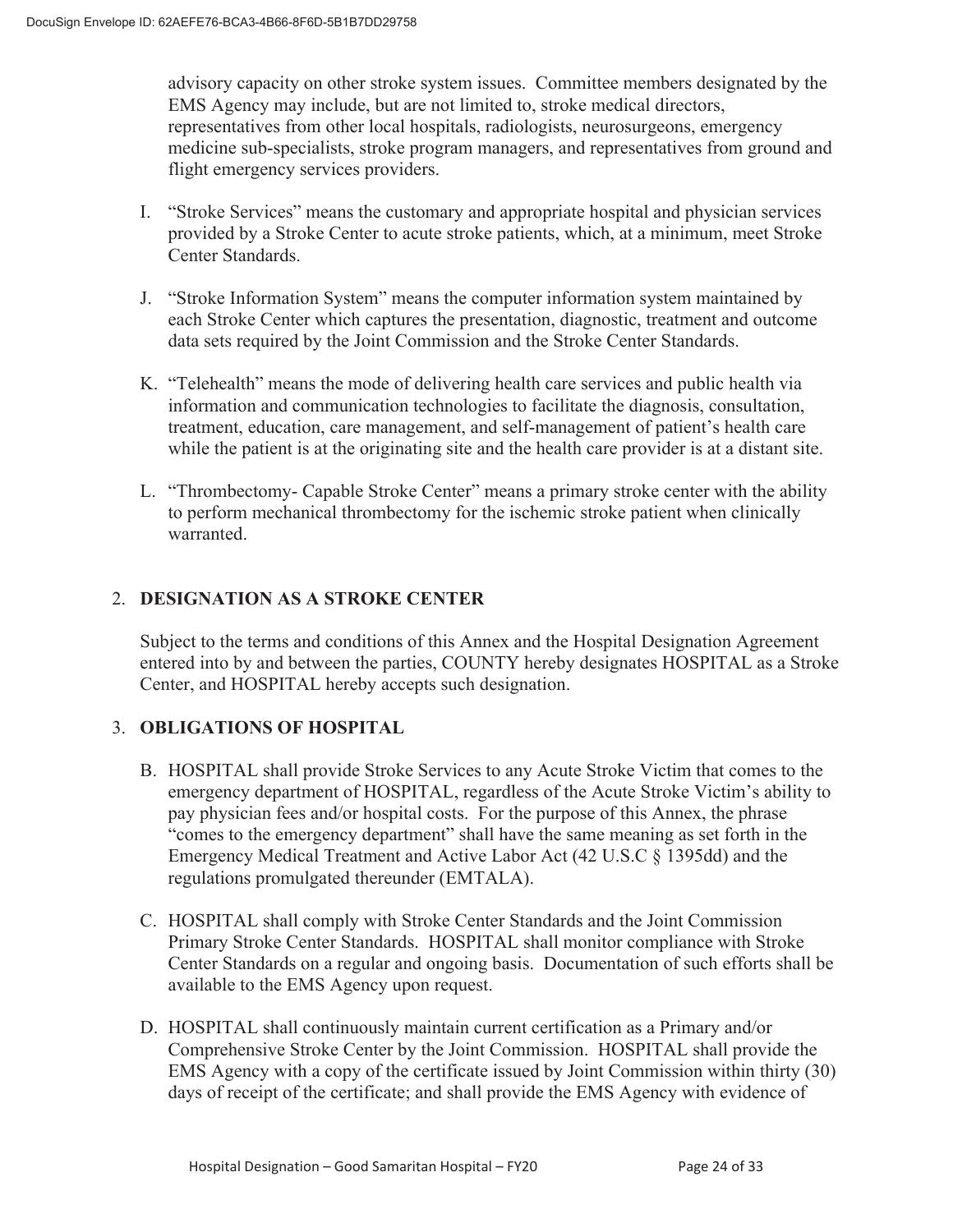advisory capacity on other stroke system issues. Committee members designated by the EMS Agency may include, but are not limited to, stroke medical directors, representatives from other local hospitals, radiologists, neurosurgeons, emergency medicine sub-specialists, stroke program managers, and representatives from ground and flight emergency services providers.

- I. "Stroke Services" means the customary and appropriate hospital and physician services provided by a Stroke Center to acute stroke patients, which, at a minimum, meet Stroke Center Standards.
- J. "Stroke Information System" means the computer information system maintained by each Stroke Center which captures the presentation, diagnostic, treatment and outcome data sets required by the Joint Commission and the Stroke Center Standards.
- K. "Telehealth" means the mode of delivering health care services and public health via information and communication technologies to facilitate the diagnosis, consultation, treatment, education, care management, and self-management of patient's health care while the patient is at the originating site and the health care provider is at a distant site.
- L. "Thrombectomy- Capable Stroke Center" means a primary stroke center with the ability to perform mechanical thrombectomy for the ischemic stroke patient when clinically warranted.

# 2. **DESIGNATION AS A STROKE CENTER**

Subject to the terms and conditions of this Annex and the Hospital Designation Agreement entered into by and between the parties, COUNTY hereby designates HOSPITAL as a Stroke Center, and HOSPITAL hereby accepts such designation.

# 3. **OBLIGATIONS OF HOSPITAL**

- B. HOSPITAL shall provide Stroke Services to any Acute Stroke Victim that comes to the emergency department of HOSPITAL, regardless of the Acute Stroke Victim's ability to pay physician fees and/or hospital costs. For the purpose of this Annex, the phrase "comes to the emergency department" shall have the same meaning as set forth in the Emergency Medical Treatment and Active Labor Act (42 U.S.C § 1395dd) and the regulations promulgated thereunder (EMTALA).
- C. HOSPITAL shall comply with Stroke Center Standards and the Joint Commission Primary Stroke Center Standards. HOSPITAL shall monitor compliance with Stroke Center Standards on a regular and ongoing basis. Documentation of such efforts shall be available to the EMS Agency upon request.
- D. HOSPITAL shall continuously maintain current certification as a Primary and/or Comprehensive Stroke Center by the Joint Commission. HOSPITAL shall provide the EMS Agency with a copy of the certificate issued by Joint Commission within thirty (30) days of receipt of the certificate; and shall provide the EMS Agency with evidence of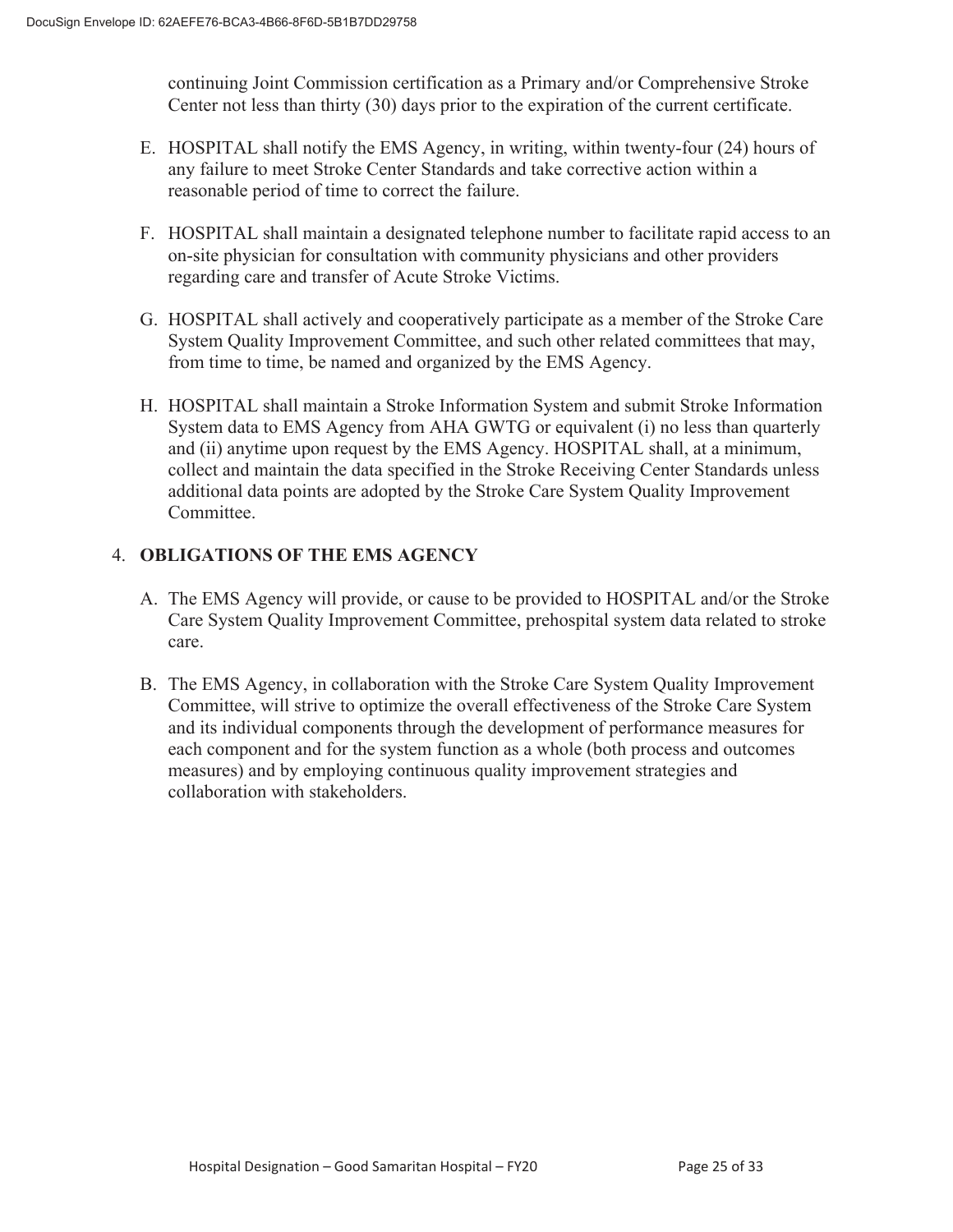continuing Joint Commission certification as a Primary and/or Comprehensive Stroke Center not less than thirty (30) days prior to the expiration of the current certificate.

- E. HOSPITAL shall notify the EMS Agency, in writing, within twenty-four (24) hours of any failure to meet Stroke Center Standards and take corrective action within a reasonable period of time to correct the failure.
- F. HOSPITAL shall maintain a designated telephone number to facilitate rapid access to an on-site physician for consultation with community physicians and other providers regarding care and transfer of Acute Stroke Victims.
- G. HOSPITAL shall actively and cooperatively participate as a member of the Stroke Care System Quality Improvement Committee, and such other related committees that may, from time to time, be named and organized by the EMS Agency.
- H. HOSPITAL shall maintain a Stroke Information System and submit Stroke Information System data to EMS Agency from AHA GWTG or equivalent (i) no less than quarterly and (ii) anytime upon request by the EMS Agency. HOSPITAL shall, at a minimum, collect and maintain the data specified in the Stroke Receiving Center Standards unless additional data points are adopted by the Stroke Care System Quality Improvement Committee.

# 4. **OBLIGATIONS OF THE EMS AGENCY**

- A. The EMS Agency will provide, or cause to be provided to HOSPITAL and/or the Stroke Care System Quality Improvement Committee, prehospital system data related to stroke care.
- B. The EMS Agency, in collaboration with the Stroke Care System Quality Improvement Committee, will strive to optimize the overall effectiveness of the Stroke Care System and its individual components through the development of performance measures for each component and for the system function as a whole (both process and outcomes measures) and by employing continuous quality improvement strategies and collaboration with stakeholders.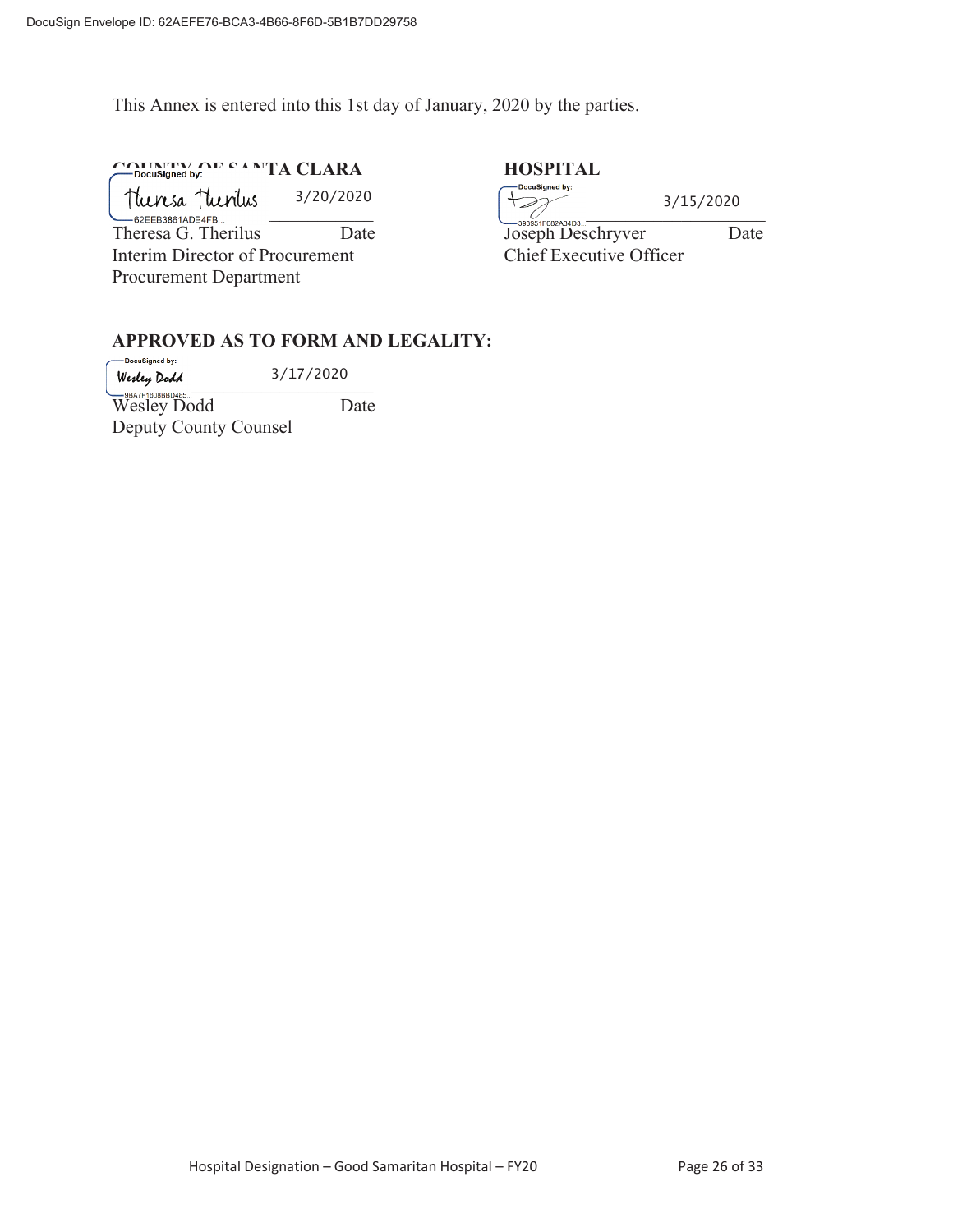This Annex is entered into this 1st day of January, 2020 by the parties.

**COUNTY OF SANTA CLARA HOSPITAL HOSPITAL** 

Procurement Department

\_\_\_\_\_\_\_\_\_\_\_\_\_\_\_\_\_\_\_\_\_\_\_\_\_\_\_\_ \_\_\_\_\_\_\_\_\_\_\_\_\_\_\_\_\_\_\_\_\_\_\_\_\_\_\_\_ Theresa G. Therilus Date Date Joseph Deschryver Date Interim Director of Procurement Chief Executive Officer 3/20/2020

3/15/2020

# **APPROVED AS TO FORM AND LEGALITY:**

DocuSigned by: 3/17/2020  $Wesley Dodd$   $3/11/2020$ Wesley Dodd Date Deputy County Counsel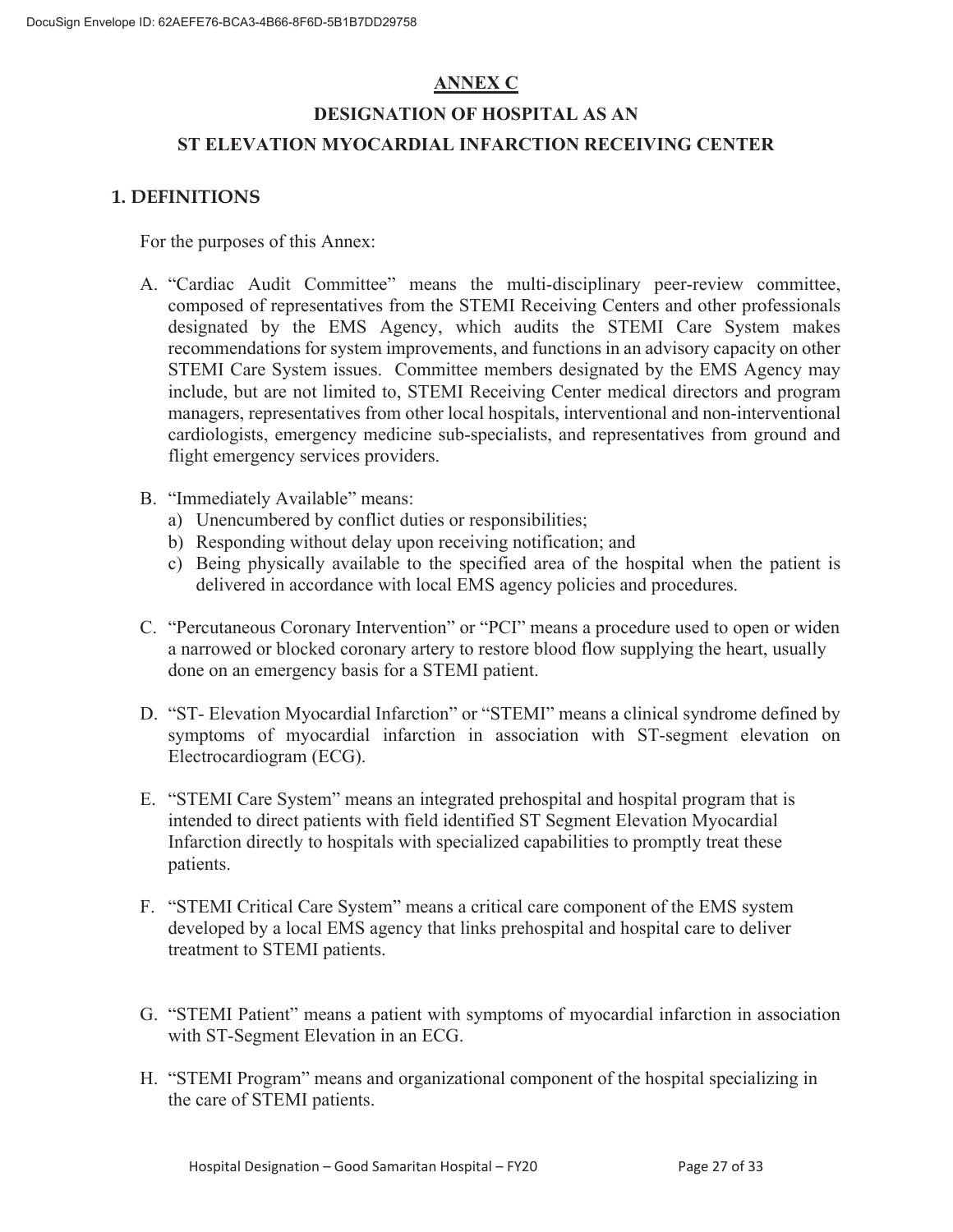# **ANNEX C**

# **DESIGNATION OF HOSPITAL AS AN ST ELEVATION MYOCARDIAL INFARCTION RECEIVING CENTER**

# **1. DEFINITIONS**

For the purposes of this Annex:

- A. "Cardiac Audit Committee" means the multi-disciplinary peer-review committee, composed of representatives from the STEMI Receiving Centers and other professionals designated by the EMS Agency, which audits the STEMI Care System makes recommendations for system improvements, and functions in an advisory capacity on other STEMI Care System issues. Committee members designated by the EMS Agency may include, but are not limited to, STEMI Receiving Center medical directors and program managers, representatives from other local hospitals, interventional and non-interventional cardiologists, emergency medicine sub-specialists, and representatives from ground and flight emergency services providers.
- B. "Immediately Available" means:
	- a) Unencumbered by conflict duties or responsibilities;
	- b) Responding without delay upon receiving notification; and
	- c) Being physically available to the specified area of the hospital when the patient is delivered in accordance with local EMS agency policies and procedures.
- C. "Percutaneous Coronary Intervention" or "PCI" means a procedure used to open or widen a narrowed or blocked coronary artery to restore blood flow supplying the heart, usually done on an emergency basis for a STEMI patient.
- D. "ST- Elevation Myocardial Infarction" or "STEMI" means a clinical syndrome defined by symptoms of myocardial infarction in association with ST-segment elevation on Electrocardiogram (ECG).
- E. "STEMI Care System" means an integrated prehospital and hospital program that is intended to direct patients with field identified ST Segment Elevation Myocardial Infarction directly to hospitals with specialized capabilities to promptly treat these patients.
- F. "STEMI Critical Care System" means a critical care component of the EMS system developed by a local EMS agency that links prehospital and hospital care to deliver treatment to STEMI patients.
- G. "STEMI Patient" means a patient with symptoms of myocardial infarction in association with ST-Segment Elevation in an ECG.
- H. "STEMI Program" means and organizational component of the hospital specializing in the care of STEMI patients.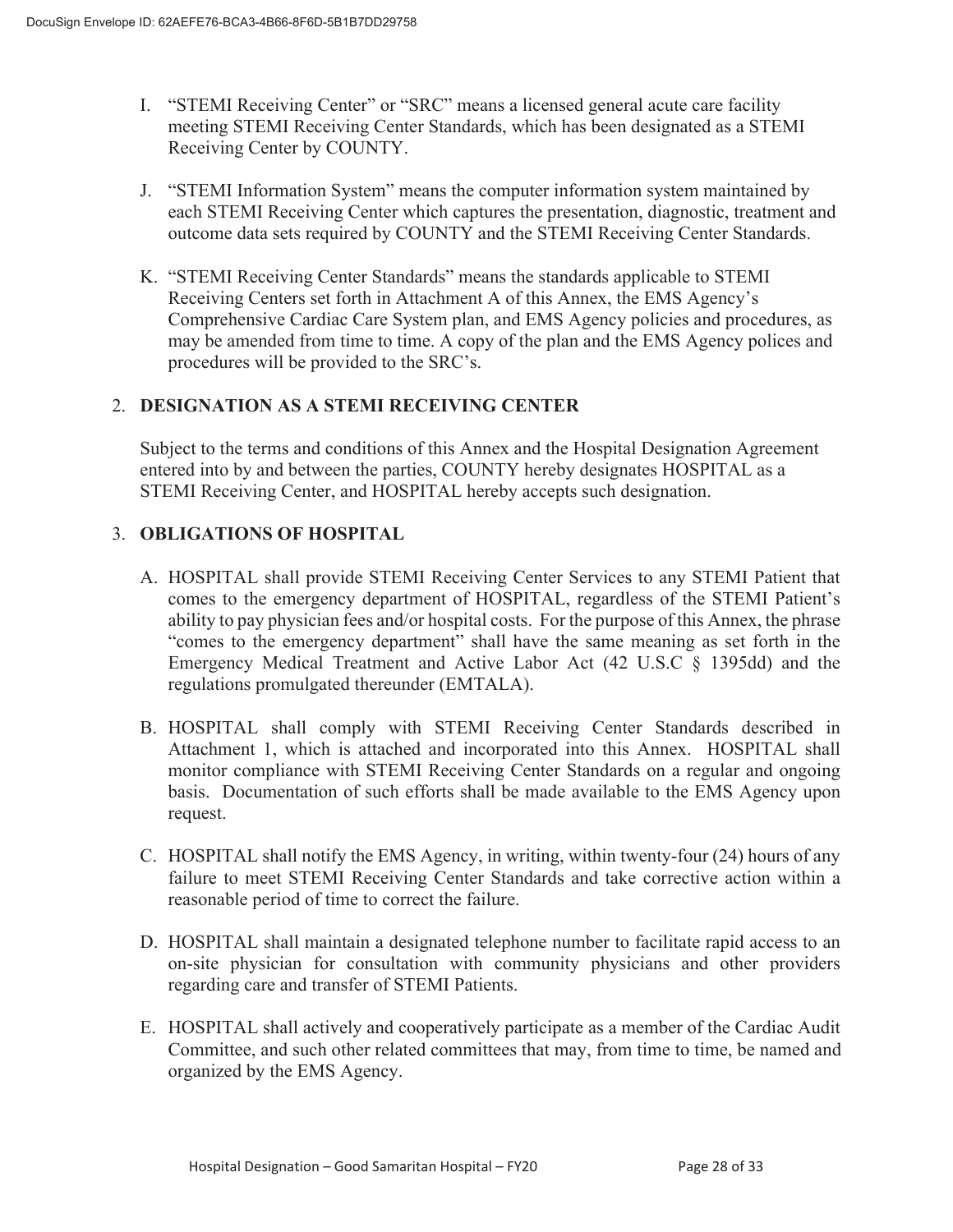- I. "STEMI Receiving Center" or "SRC" means a licensed general acute care facility meeting STEMI Receiving Center Standards, which has been designated as a STEMI Receiving Center by COUNTY.
- J. "STEMI Information System" means the computer information system maintained by each STEMI Receiving Center which captures the presentation, diagnostic, treatment and outcome data sets required by COUNTY and the STEMI Receiving Center Standards.
- K. "STEMI Receiving Center Standards" means the standards applicable to STEMI Receiving Centers set forth in Attachment A of this Annex, the EMS Agency's Comprehensive Cardiac Care System plan, and EMS Agency policies and procedures, as may be amended from time to time. A copy of the plan and the EMS Agency polices and procedures will be provided to the SRC's.

# 2. **DESIGNATION AS A STEMI RECEIVING CENTER**

Subject to the terms and conditions of this Annex and the Hospital Designation Agreement entered into by and between the parties, COUNTY hereby designates HOSPITAL as a STEMI Receiving Center, and HOSPITAL hereby accepts such designation.

## 3. **OBLIGATIONS OF HOSPITAL**

- A. HOSPITAL shall provide STEMI Receiving Center Services to any STEMI Patient that comes to the emergency department of HOSPITAL, regardless of the STEMI Patient's ability to pay physician fees and/or hospital costs. For the purpose of this Annex, the phrase "comes to the emergency department" shall have the same meaning as set forth in the Emergency Medical Treatment and Active Labor Act (42 U.S.C § 1395dd) and the regulations promulgated thereunder (EMTALA).
- B. HOSPITAL shall comply with STEMI Receiving Center Standards described in Attachment 1, which is attached and incorporated into this Annex. HOSPITAL shall monitor compliance with STEMI Receiving Center Standards on a regular and ongoing basis. Documentation of such efforts shall be made available to the EMS Agency upon request.
- C. HOSPITAL shall notify the EMS Agency, in writing, within twenty-four (24) hours of any failure to meet STEMI Receiving Center Standards and take corrective action within a reasonable period of time to correct the failure.
- D. HOSPITAL shall maintain a designated telephone number to facilitate rapid access to an on-site physician for consultation with community physicians and other providers regarding care and transfer of STEMI Patients.
- E. HOSPITAL shall actively and cooperatively participate as a member of the Cardiac Audit Committee, and such other related committees that may, from time to time, be named and organized by the EMS Agency.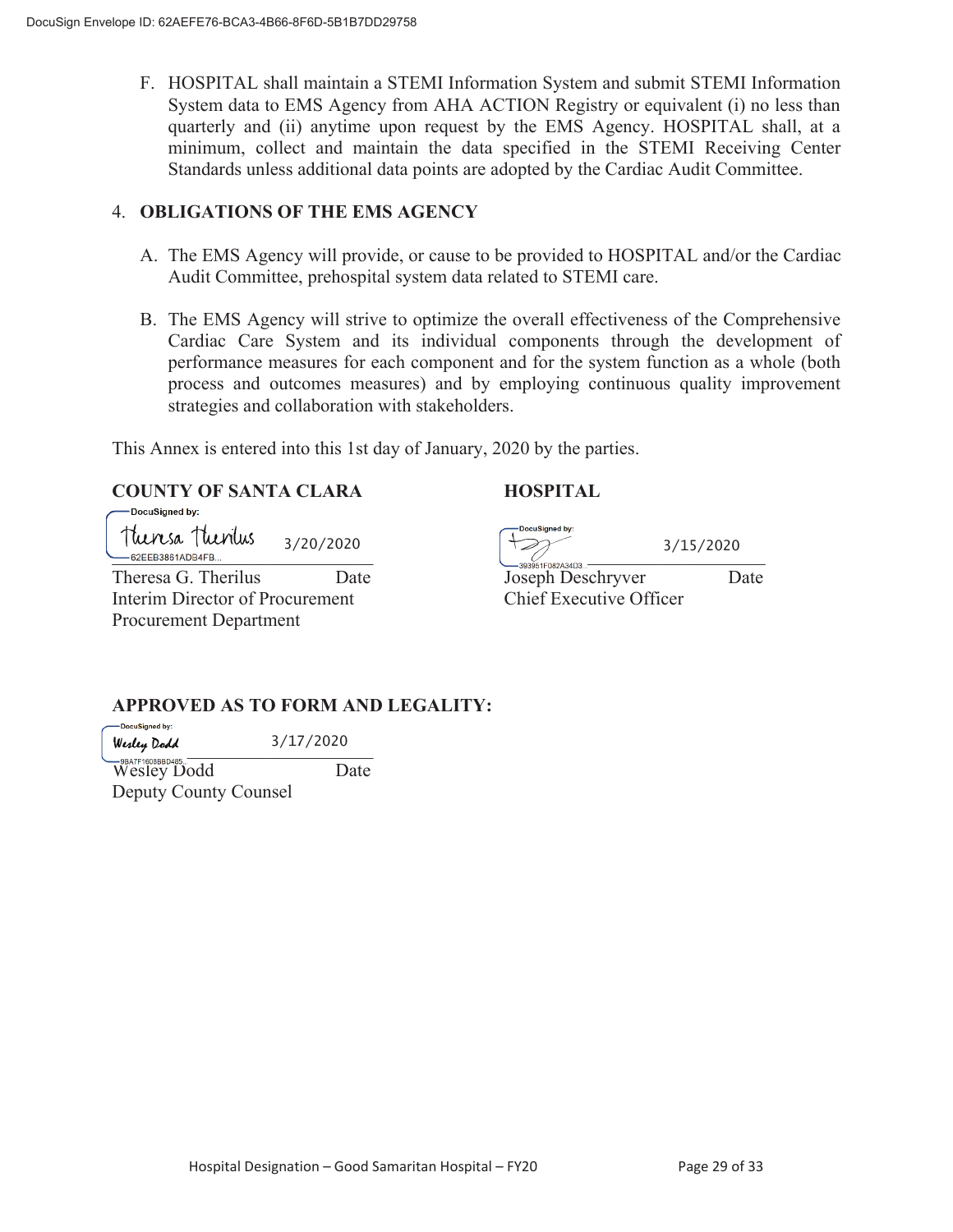F. HOSPITAL shall maintain a STEMI Information System and submit STEMI Information System data to EMS Agency from AHA ACTION Registry or equivalent (i) no less than quarterly and (ii) anytime upon request by the EMS Agency. HOSPITAL shall, at a minimum, collect and maintain the data specified in the STEMI Receiving Center Standards unless additional data points are adopted by the Cardiac Audit Committee.

## 4. **OBLIGATIONS OF THE EMS AGENCY**

- A. The EMS Agency will provide, or cause to be provided to HOSPITAL and/or the Cardiac Audit Committee, prehospital system data related to STEMI care.
- B. The EMS Agency will strive to optimize the overall effectiveness of the Comprehensive Cardiac Care System and its individual components through the development of performance measures for each component and for the system function as a whole (both process and outcomes measures) and by employing continuous quality improvement strategies and collaboration with stakeholders.

This Annex is entered into this 1st day of January, 2020 by the parties.

#### **COUNTY OF SANTA CLARA HOSPITAL**  DocuSianed by:

Theresa Thenius 3/20/2020 \_\_\_\_\_\_\_\_\_\_\_\_\_\_\_\_\_\_\_\_\_\_\_\_\_\_\_\_ \_\_\_\_\_\_\_\_\_\_\_\_\_\_\_\_\_\_\_\_\_\_\_\_\_\_\_\_

Interim Director of Procurement Chief Executive Officer Procurement Department

DocuSianed by

3/15/2020

Theresa G. Therilus Date Date Joseph Deschryver Date

**APPROVED AS TO FORM AND LEGALITY:** 

-DocuSigned by: 3/17/2020 Wesley Dodd  $3/11/2020$ 

Wesley Dodd Date Deputy County Counsel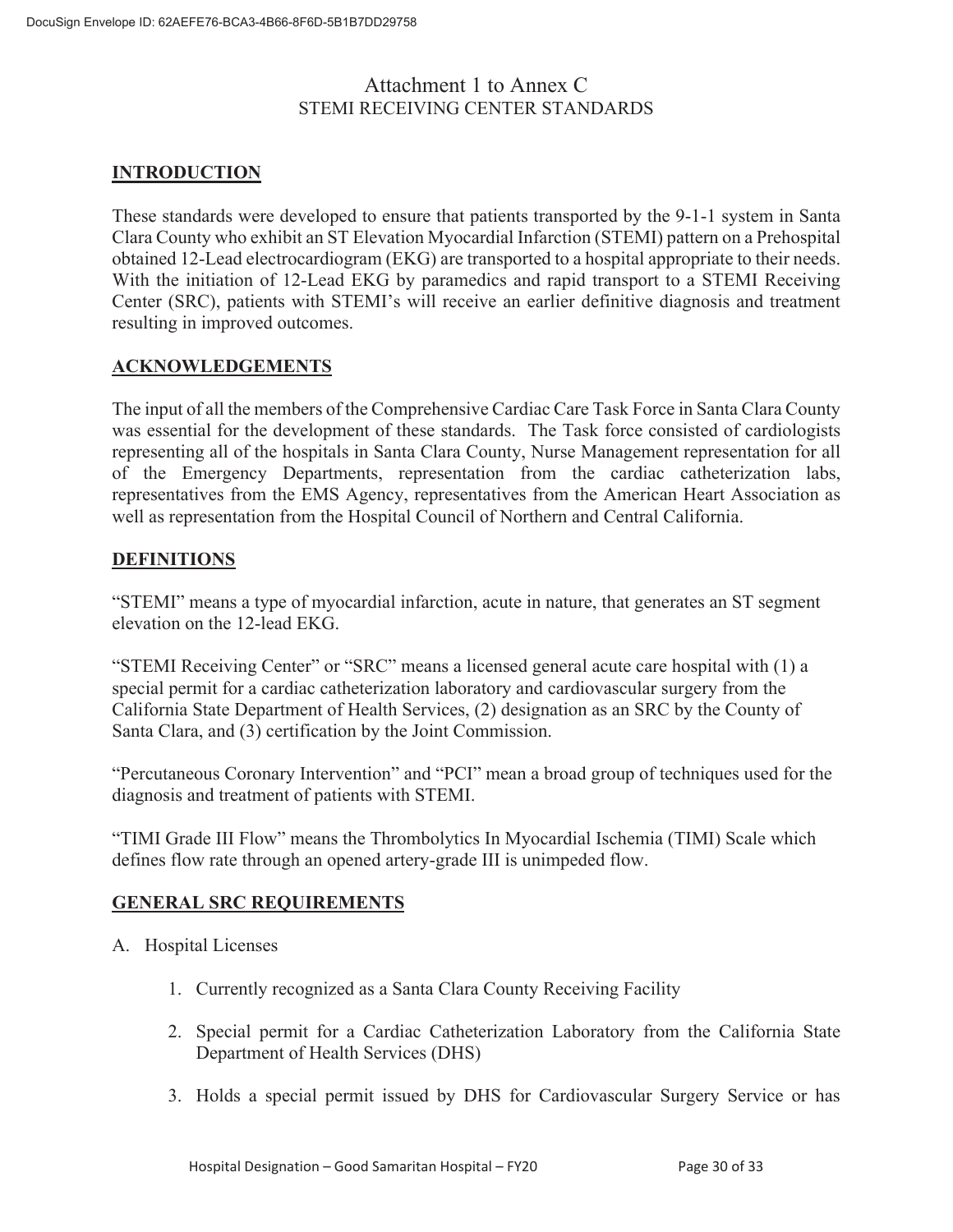# Attachment 1 to Annex C STEMI RECEIVING CENTER STANDARDS

# **INTRODUCTION**

These standards were developed to ensure that patients transported by the 9-1-1 system in Santa Clara County who exhibit an ST Elevation Myocardial Infarction (STEMI) pattern on a Prehospital obtained 12-Lead electrocardiogram (EKG) are transported to a hospital appropriate to their needs. With the initiation of 12-Lead EKG by paramedics and rapid transport to a STEMI Receiving Center (SRC), patients with STEMI's will receive an earlier definitive diagnosis and treatment resulting in improved outcomes.

#### **ACKNOWLEDGEMENTS**

The input of all the members of the Comprehensive Cardiac Care Task Force in Santa Clara County was essential for the development of these standards. The Task force consisted of cardiologists representing all of the hospitals in Santa Clara County, Nurse Management representation for all of the Emergency Departments, representation from the cardiac catheterization labs, representatives from the EMS Agency, representatives from the American Heart Association as well as representation from the Hospital Council of Northern and Central California.

## **DEFINITIONS**

"STEMI" means a type of myocardial infarction, acute in nature, that generates an ST segment elevation on the 12-lead EKG.

"STEMI Receiving Center" or "SRC" means a licensed general acute care hospital with (1) a special permit for a cardiac catheterization laboratory and cardiovascular surgery from the California State Department of Health Services, (2) designation as an SRC by the County of Santa Clara, and (3) certification by the Joint Commission.

"Percutaneous Coronary Intervention" and "PCI" mean a broad group of techniques used for the diagnosis and treatment of patients with STEMI.

"TIMI Grade III Flow" means the Thrombolytics In Myocardial Ischemia (TIMI) Scale which defines flow rate through an opened artery-grade III is unimpeded flow.

# **GENERAL SRC REQUIREMENTS**

- A. Hospital Licenses
	- 1. Currently recognized as a Santa Clara County Receiving Facility
	- 2. Special permit for a Cardiac Catheterization Laboratory from the California State Department of Health Services (DHS)
	- 3. Holds a special permit issued by DHS for Cardiovascular Surgery Service or has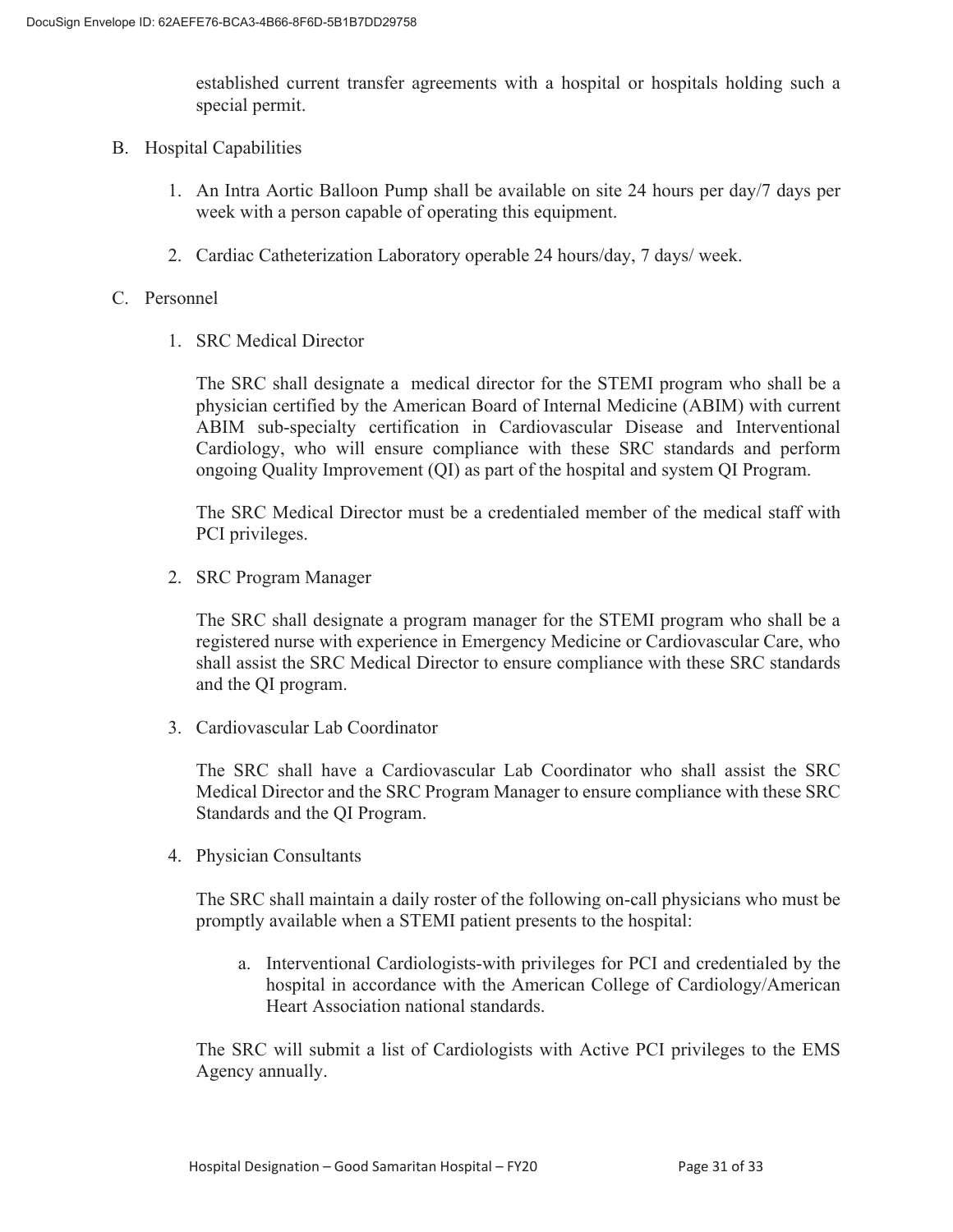established current transfer agreements with a hospital or hospitals holding such a special permit.

- B. Hospital Capabilities
	- 1. An Intra Aortic Balloon Pump shall be available on site 24 hours per day/7 days per week with a person capable of operating this equipment.
	- 2. Cardiac Catheterization Laboratory operable 24 hours/day, 7 days/ week.

#### C. Personnel

1. SRC Medical Director

The SRC shall designate a medical director for the STEMI program who shall be a physician certified by the American Board of Internal Medicine (ABIM) with current ABIM sub-specialty certification in Cardiovascular Disease and Interventional Cardiology, who will ensure compliance with these SRC standards and perform ongoing Quality Improvement (QI) as part of the hospital and system QI Program.

The SRC Medical Director must be a credentialed member of the medical staff with PCI privileges.

2. SRC Program Manager

The SRC shall designate a program manager for the STEMI program who shall be a registered nurse with experience in Emergency Medicine or Cardiovascular Care, who shall assist the SRC Medical Director to ensure compliance with these SRC standards and the QI program.

3. Cardiovascular Lab Coordinator

The SRC shall have a Cardiovascular Lab Coordinator who shall assist the SRC Medical Director and the SRC Program Manager to ensure compliance with these SRC Standards and the QI Program.

4. Physician Consultants

The SRC shall maintain a daily roster of the following on-call physicians who must be promptly available when a STEMI patient presents to the hospital:

a. Interventional Cardiologists-with privileges for PCI and credentialed by the hospital in accordance with the American College of Cardiology/American Heart Association national standards.

The SRC will submit a list of Cardiologists with Active PCI privileges to the EMS Agency annually.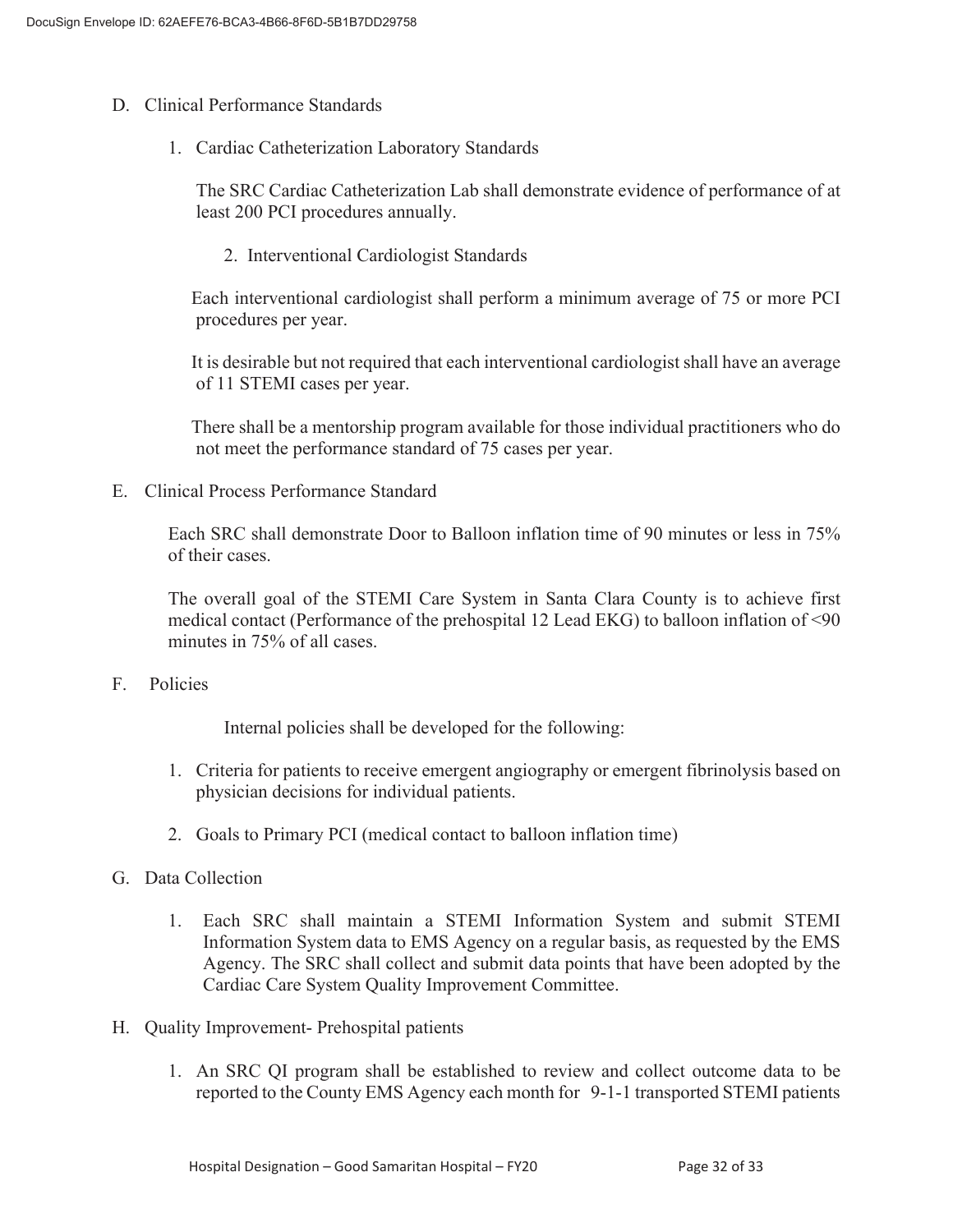- D. Clinical Performance Standards
	- 1. Cardiac Catheterization Laboratory Standards

The SRC Cardiac Catheterization Lab shall demonstrate evidence of performance of at least 200 PCI procedures annually.

2. Interventional Cardiologist Standards

 Each interventional cardiologist shall perform a minimum average of 75 or more PCI procedures per year.

 It is desirable but not required that each interventional cardiologist shall have an average of 11 STEMI cases per year.

 There shall be a mentorship program available for those individual practitioners who do not meet the performance standard of 75 cases per year.

E. Clinical Process Performance Standard

Each SRC shall demonstrate Door to Balloon inflation time of 90 minutes or less in 75% of their cases.

The overall goal of the STEMI Care System in Santa Clara County is to achieve first medical contact (Performance of the prehospital 12 Lead EKG) to balloon inflation of <90 minutes in 75% of all cases.

F. Policies

Internal policies shall be developed for the following:

- 1. Criteria for patients to receive emergent angiography or emergent fibrinolysis based on physician decisions for individual patients.
- 2. Goals to Primary PCI (medical contact to balloon inflation time)
- G. Data Collection
	- 1. Each SRC shall maintain a STEMI Information System and submit STEMI Information System data to EMS Agency on a regular basis, as requested by the EMS Agency. The SRC shall collect and submit data points that have been adopted by the Cardiac Care System Quality Improvement Committee.
- H. Quality Improvement- Prehospital patients
	- 1. An SRC QI program shall be established to review and collect outcome data to be reported to the County EMS Agency each month for 9-1-1 transported STEMI patients